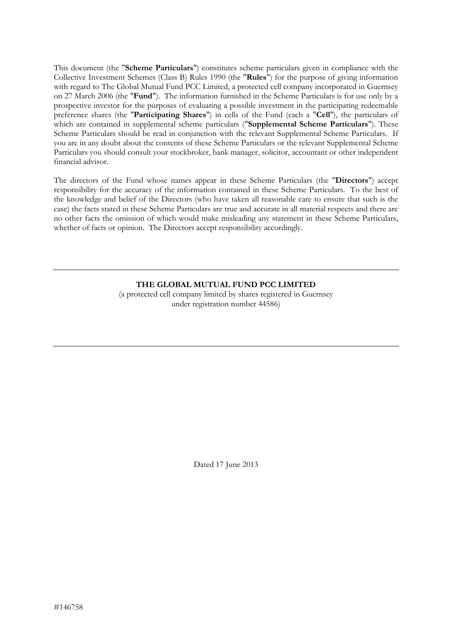This document (the "**Scheme Particulars**") constitutes scheme particulars given in compliance with the Collective Investment Schemes (Class B) Rules 1990 (the "**Rules**") for the purpose of giving information with regard to The Global Mutual Fund PCC Limited, a protected cell company incorporated in Guernsey on 27 March 2006 (the "**Fund**"). The information furnished in the Scheme Particulars is for use only by a prospective investor for the purposes of evaluating a possible investment in the participating redeemable preference shares (the "**Participating Shares**") in cells of the Fund (each a "**Cell**"), the particulars of which are contained in supplemental scheme particulars ("**Supplemental Scheme Particulars**"). These Scheme Particulars should be read in conjunction with the relevant Supplemental Scheme Particulars. If you are in any doubt about the contents of these Scheme Particulars or the relevant Supplemental Scheme Particulars you should consult your stockbroker, bank manager, solicitor, accountant or other independent financial advisor.

The directors of the Fund whose names appear in these Scheme Particulars (the "**Directors**") accept responsibility for the accuracy of the information contained in these Scheme Particulars. To the best of the knowledge and belief of the Directors (who have taken all reasonable care to ensure that such is the case) the facts stated in these Scheme Particulars are true and accurate in all material respects and there are no other facts the omission of which would make misleading any statement in these Scheme Particulars, whether of facts or opinion. The Directors accept responsibility accordingly.

> **THE GLOBAL MUTUAL FUND PCC LIMITED** (a protected cell company limited by shares registered in Guernsey under registration number 44586)

> > Dated 17 June 2013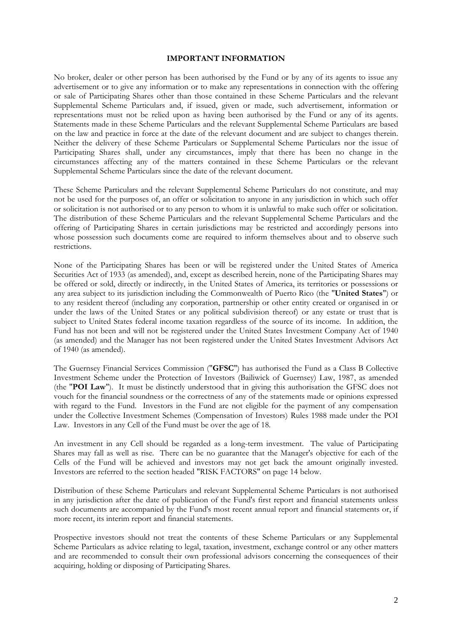#### **IMPORTANT INFORMATION**

No broker, dealer or other person has been authorised by the Fund or by any of its agents to issue any advertisement or to give any information or to make any representations in connection with the offering or sale of Participating Shares other than those contained in these Scheme Particulars and the relevant Supplemental Scheme Particulars and, if issued, given or made, such advertisement, information or representations must not be relied upon as having been authorised by the Fund or any of its agents. Statements made in these Scheme Particulars and the relevant Supplemental Scheme Particulars are based on the law and practice in force at the date of the relevant document and are subject to changes therein. Neither the delivery of these Scheme Particulars or Supplemental Scheme Particulars nor the issue of Participating Shares shall, under any circumstances, imply that there has been no change in the circumstances affecting any of the matters contained in these Scheme Particulars or the relevant Supplemental Scheme Particulars since the date of the relevant document.

These Scheme Particulars and the relevant Supplemental Scheme Particulars do not constitute, and may not be used for the purposes of, an offer or solicitation to anyone in any jurisdiction in which such offer or solicitation is not authorised or to any person to whom it is unlawful to make such offer or solicitation. The distribution of these Scheme Particulars and the relevant Supplemental Scheme Particulars and the offering of Participating Shares in certain jurisdictions may be restricted and accordingly persons into whose possession such documents come are required to inform themselves about and to observe such restrictions.

None of the Participating Shares has been or will be registered under the United States of America Securities Act of 1933 (as amended), and, except as described herein, none of the Participating Shares may be offered or sold, directly or indirectly, in the United States of America, its territories or possessions or any area subject to its jurisdiction including the Commonwealth of Puerto Rico (the "**United States**") or to any resident thereof (including any corporation, partnership or other entity created or organised in or under the laws of the United States or any political subdivision thereof) or any estate or trust that is subject to United States federal income taxation regardless of the source of its income. In addition, the Fund has not been and will not be registered under the United States Investment Company Act of 1940 (as amended) and the Manager has not been registered under the United States Investment Advisors Act of 1940 (as amended).

The Guernsey Financial Services Commission ("**GFSC**") has authorised the Fund as a Class B Collective Investment Scheme under the Protection of Investors (Bailiwick of Guernsey) Law, 1987, as amended (the "**POI Law**"). It must be distinctly understood that in giving this authorisation the GFSC does not vouch for the financial soundness or the correctness of any of the statements made or opinions expressed with regard to the Fund. Investors in the Fund are not eligible for the payment of any compensation under the Collective Investment Schemes (Compensation of Investors) Rules 1988 made under the POI Law. Investors in any Cell of the Fund must be over the age of 18.

An investment in any Cell should be regarded as a long-term investment. The value of Participating Shares may fall as well as rise. There can be no guarantee that the Manager's objective for each of the Cells of the Fund will be achieved and investors may not get back the amount originally invested. Investors are referred to the section headed "RISK FACTORS" on page 14 below.

Distribution of these Scheme Particulars and relevant Supplemental Scheme Particulars is not authorised in any jurisdiction after the date of publication of the Fund's first report and financial statements unless such documents are accompanied by the Fund's most recent annual report and financial statements or, if more recent, its interim report and financial statements.

Prospective investors should not treat the contents of these Scheme Particulars or any Supplemental Scheme Particulars as advice relating to legal, taxation, investment, exchange control or any other matters and are recommended to consult their own professional advisors concerning the consequences of their acquiring, holding or disposing of Participating Shares.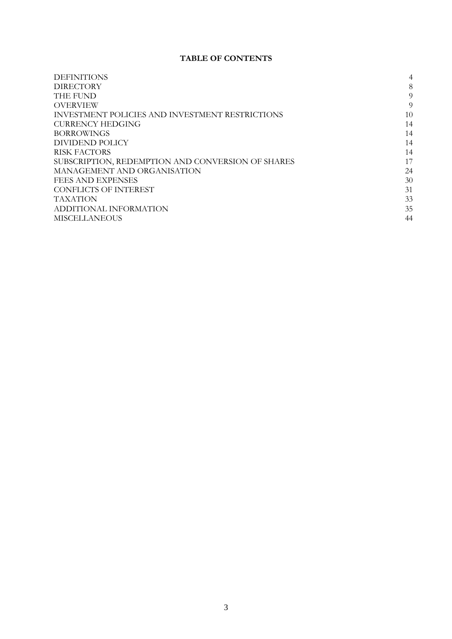# **TABLE OF CONTENTS**

| <b>DEFINITIONS</b>                                     | 4  |
|--------------------------------------------------------|----|
| <b>DIRECTORY</b>                                       | 8  |
| THE FUND                                               | 9  |
| <b>OVERVIEW</b>                                        | 9  |
| <b>INVESTMENT POLICIES AND INVESTMENT RESTRICTIONS</b> | 10 |
| <b>CURRENCY HEDGING</b>                                | 14 |
| <b>BORROWINGS</b>                                      | 14 |
| DIVIDEND POLICY                                        | 14 |
| <b>RISK FACTORS</b>                                    | 14 |
| SUBSCRIPTION, REDEMPTION AND CONVERSION OF SHARES      | 17 |
| MANAGEMENT AND ORGANISATION                            | 24 |
| FEES AND EXPENSES                                      | 30 |
| <b>CONFLICTS OF INTEREST</b>                           | 31 |
| <b>TAXATION</b>                                        | 33 |
| ADDITIONAL INFORMATION                                 | 35 |
| <b>MISCELLANEOUS</b>                                   | 44 |
|                                                        |    |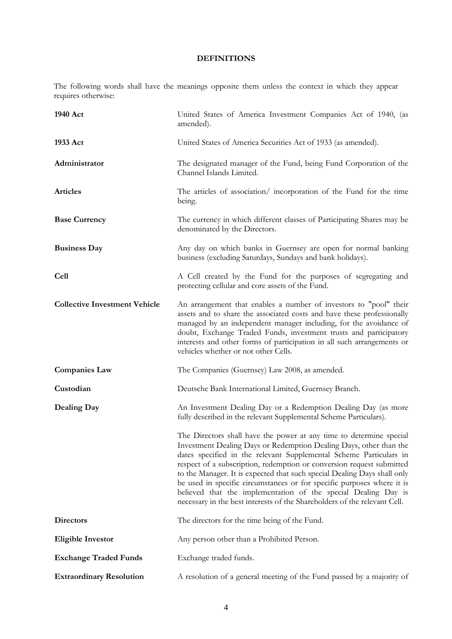# **DEFINITIONS**

<span id="page-3-0"></span>The following words shall have the meanings opposite them unless the context in which they appear requires otherwise:

| 1940 Act                             | United States of America Investment Companies Act of 1940, (as<br>amended).                                                                                                                                                                                                                                                                                                                                                                                                                                                                                                                   |
|--------------------------------------|-----------------------------------------------------------------------------------------------------------------------------------------------------------------------------------------------------------------------------------------------------------------------------------------------------------------------------------------------------------------------------------------------------------------------------------------------------------------------------------------------------------------------------------------------------------------------------------------------|
| 1933 Act                             | United States of America Securities Act of 1933 (as amended).                                                                                                                                                                                                                                                                                                                                                                                                                                                                                                                                 |
| Administrator                        | The designated manager of the Fund, being Fund Corporation of the<br>Channel Islands Limited.                                                                                                                                                                                                                                                                                                                                                                                                                                                                                                 |
| <b>Articles</b>                      | The articles of association/incorporation of the Fund for the time<br>being.                                                                                                                                                                                                                                                                                                                                                                                                                                                                                                                  |
| <b>Base Currency</b>                 | The currency in which different classes of Participating Shares may be<br>denominated by the Directors.                                                                                                                                                                                                                                                                                                                                                                                                                                                                                       |
| <b>Business Day</b>                  | Any day on which banks in Guernsey are open for normal banking<br>business (excluding Saturdays, Sundays and bank holidays).                                                                                                                                                                                                                                                                                                                                                                                                                                                                  |
| <b>Cell</b>                          | A Cell created by the Fund for the purposes of segregating and<br>protecting cellular and core assets of the Fund.                                                                                                                                                                                                                                                                                                                                                                                                                                                                            |
| <b>Collective Investment Vehicle</b> | An arrangement that enables a number of investors to "pool" their<br>assets and to share the associated costs and have these professionally<br>managed by an independent manager including, for the avoidance of<br>doubt, Exchange Traded Funds, investment trusts and participatory<br>interests and other forms of participation in all such arrangements or<br>vehicles whether or not other Cells.                                                                                                                                                                                       |
| <b>Companies Law</b>                 | The Companies (Guernsey) Law 2008, as amended.                                                                                                                                                                                                                                                                                                                                                                                                                                                                                                                                                |
| Custodian                            | Deutsche Bank International Limited, Guernsey Branch.                                                                                                                                                                                                                                                                                                                                                                                                                                                                                                                                         |
| Dealing Day                          | An Investment Dealing Day or a Redemption Dealing Day (as more<br>fully described in the relevant Supplemental Scheme Particulars).                                                                                                                                                                                                                                                                                                                                                                                                                                                           |
|                                      | The Directors shall have the power at any time to determine special<br>Investment Dealing Days or Redemption Dealing Days, other than the<br>dates specified in the relevant Supplemental Scheme Particulars in<br>respect of a subscription, redemption or conversion request submitted<br>to the Manager. It is expected that such special Dealing Days shall only<br>be used in specific circumstances or for specific purposes where it is<br>believed that the implementation of the special Dealing Day is<br>necessary in the best interests of the Shareholders of the relevant Cell. |
| <b>Directors</b>                     | The directors for the time being of the Fund.                                                                                                                                                                                                                                                                                                                                                                                                                                                                                                                                                 |
| <b>Eligible Investor</b>             | Any person other than a Prohibited Person.                                                                                                                                                                                                                                                                                                                                                                                                                                                                                                                                                    |
| <b>Exchange Traded Funds</b>         | Exchange traded funds.                                                                                                                                                                                                                                                                                                                                                                                                                                                                                                                                                                        |
| <b>Extraordinary Resolution</b>      | A resolution of a general meeting of the Fund passed by a majority of                                                                                                                                                                                                                                                                                                                                                                                                                                                                                                                         |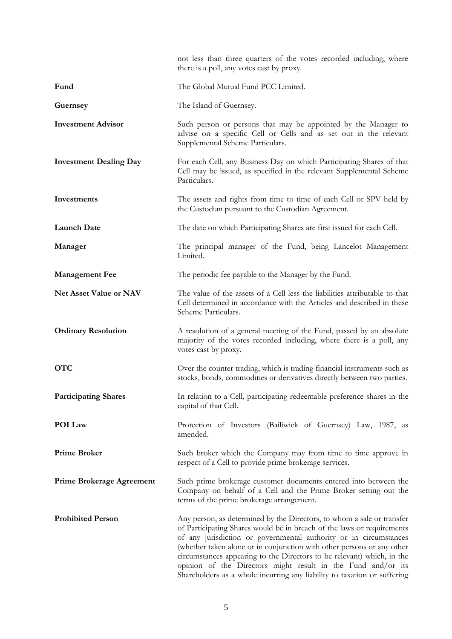|                                  | not less than three quarters of the votes recorded including, where<br>there is a poll, any votes cast by proxy.                                                                                                                                                                                                                                                                                                                                                                                                      |
|----------------------------------|-----------------------------------------------------------------------------------------------------------------------------------------------------------------------------------------------------------------------------------------------------------------------------------------------------------------------------------------------------------------------------------------------------------------------------------------------------------------------------------------------------------------------|
| Fund                             | The Global Mutual Fund PCC Limited.                                                                                                                                                                                                                                                                                                                                                                                                                                                                                   |
| Guernsey                         | The Island of Guernsey.                                                                                                                                                                                                                                                                                                                                                                                                                                                                                               |
| <b>Investment Advisor</b>        | Such person or persons that may be appointed by the Manager to<br>advise on a specific Cell or Cells and as set out in the relevant<br>Supplemental Scheme Particulars.                                                                                                                                                                                                                                                                                                                                               |
| <b>Investment Dealing Day</b>    | For each Cell, any Business Day on which Participating Shares of that<br>Cell may be issued, as specified in the relevant Supplemental Scheme<br>Particulars.                                                                                                                                                                                                                                                                                                                                                         |
| Investments                      | The assets and rights from time to time of each Cell or SPV held by<br>the Custodian pursuant to the Custodian Agreement.                                                                                                                                                                                                                                                                                                                                                                                             |
| <b>Launch Date</b>               | The date on which Participating Shares are first issued for each Cell.                                                                                                                                                                                                                                                                                                                                                                                                                                                |
| Manager                          | The principal manager of the Fund, being Lancelot Management<br>Limited.                                                                                                                                                                                                                                                                                                                                                                                                                                              |
| <b>Management Fee</b>            | The periodic fee payable to the Manager by the Fund.                                                                                                                                                                                                                                                                                                                                                                                                                                                                  |
| <b>Net Asset Value or NAV</b>    | The value of the assets of a Cell less the liabilities attributable to that<br>Cell determined in accordance with the Articles and described in these<br>Scheme Particulars.                                                                                                                                                                                                                                                                                                                                          |
| <b>Ordinary Resolution</b>       | A resolution of a general meeting of the Fund, passed by an absolute<br>majority of the votes recorded including, where there is a poll, any<br>votes cast by proxy.                                                                                                                                                                                                                                                                                                                                                  |
| <b>OTC</b>                       | Over the counter trading, which is trading financial instruments such as<br>stocks, bonds, commodities or derivatives directly between two parties.                                                                                                                                                                                                                                                                                                                                                                   |
| <b>Participating Shares</b>      | In relation to a Cell, participating redeemable preference shares in the<br>capital of that Cell.                                                                                                                                                                                                                                                                                                                                                                                                                     |
| POI Law                          | Protection of Investors (Bailiwick of Guernsey) Law, 1987, as<br>amended.                                                                                                                                                                                                                                                                                                                                                                                                                                             |
| <b>Prime Broker</b>              | Such broker which the Company may from time to time approve in<br>respect of a Cell to provide prime brokerage services.                                                                                                                                                                                                                                                                                                                                                                                              |
| <b>Prime Brokerage Agreement</b> | Such prime brokerage customer documents entered into between the<br>Company on behalf of a Cell and the Prime Broker setting out the<br>terms of the prime brokerage arrangement.                                                                                                                                                                                                                                                                                                                                     |
| <b>Prohibited Person</b>         | Any person, as determined by the Directors, to whom a sale or transfer<br>of Participating Shares would be in breach of the laws or requirements<br>of any jurisdiction or governmental authority or in circumstances<br>(whether taken alone or in conjunction with other persons or any other<br>circumstances appearing to the Directors to be relevant) which, in the<br>opinion of the Directors might result in the Fund and/or its<br>Shareholders as a whole incurring any liability to taxation or suffering |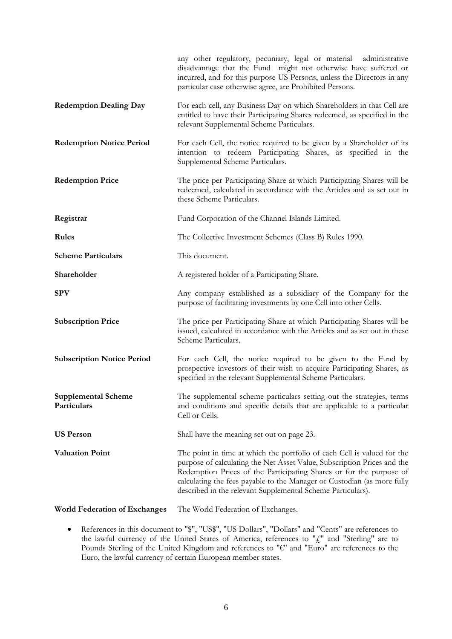|                                           | any other regulatory, pecuniary, legal or material administrative<br>disadvantage that the Fund might not otherwise have suffered or<br>incurred, and for this purpose US Persons, unless the Directors in any<br>particular case otherwise agree, are Prohibited Persons.                                                                                          |
|-------------------------------------------|---------------------------------------------------------------------------------------------------------------------------------------------------------------------------------------------------------------------------------------------------------------------------------------------------------------------------------------------------------------------|
| <b>Redemption Dealing Day</b>             | For each cell, any Business Day on which Shareholders in that Cell are<br>entitled to have their Participating Shares redeemed, as specified in the<br>relevant Supplemental Scheme Particulars.                                                                                                                                                                    |
| <b>Redemption Notice Period</b>           | For each Cell, the notice required to be given by a Shareholder of its<br>intention to redeem Participating Shares, as specified in the<br>Supplemental Scheme Particulars.                                                                                                                                                                                         |
| <b>Redemption Price</b>                   | The price per Participating Share at which Participating Shares will be<br>redeemed, calculated in accordance with the Articles and as set out in<br>these Scheme Particulars.                                                                                                                                                                                      |
| Registrar                                 | Fund Corporation of the Channel Islands Limited.                                                                                                                                                                                                                                                                                                                    |
| <b>Rules</b>                              | The Collective Investment Schemes (Class B) Rules 1990.                                                                                                                                                                                                                                                                                                             |
| <b>Scheme Particulars</b>                 | This document.                                                                                                                                                                                                                                                                                                                                                      |
| Shareholder                               | A registered holder of a Participating Share.                                                                                                                                                                                                                                                                                                                       |
| <b>SPV</b>                                | Any company established as a subsidiary of the Company for the<br>purpose of facilitating investments by one Cell into other Cells.                                                                                                                                                                                                                                 |
| <b>Subscription Price</b>                 | The price per Participating Share at which Participating Shares will be<br>issued, calculated in accordance with the Articles and as set out in these<br>Scheme Particulars.                                                                                                                                                                                        |
| <b>Subscription Notice Period</b>         | For each Cell, the notice required to be given to the Fund by<br>prospective investors of their wish to acquire Participating Shares, as<br>specified in the relevant Supplemental Scheme Particulars.                                                                                                                                                              |
| <b>Supplemental Scheme</b><br>Particulars | The supplemental scheme particulars setting out the strategies, terms<br>and conditions and specific details that are applicable to a particular<br>Cell or Cells.                                                                                                                                                                                                  |
| <b>US Person</b>                          | Shall have the meaning set out on page 23.                                                                                                                                                                                                                                                                                                                          |
| <b>Valuation Point</b>                    | The point in time at which the portfolio of each Cell is valued for the<br>purpose of calculating the Net Asset Value, Subscription Prices and the<br>Redemption Prices of the Participating Shares or for the purpose of<br>calculating the fees payable to the Manager or Custodian (as more fully<br>described in the relevant Supplemental Scheme Particulars). |

- **World Federation of Exchanges** The World Federation of Exchanges.
	- References in this document to "\$", "US\$", "US Dollars", "Dollars" and "Cents" are references to the lawful currency of the United States of America, references to " $f_{\rm s}$ " and "Sterling" are to Pounds Sterling of the United Kingdom and references to "€" and "Euro" are references to the Euro, the lawful currency of certain European member states.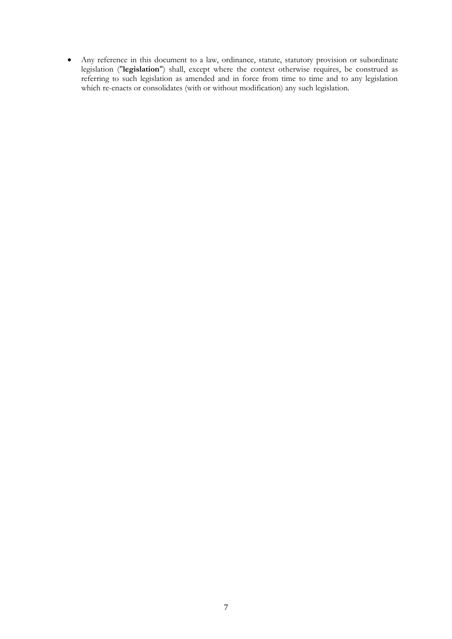Any reference in this document to a law, ordinance, statute, statutory provision or subordinate legislation ("**legislation**") shall, except where the context otherwise requires, be construed as referring to such legislation as amended and in force from time to time and to any legislation which re-enacts or consolidates (with or without modification) any such legislation.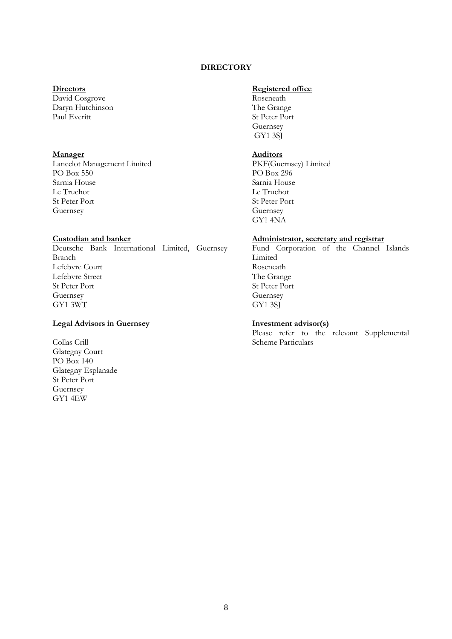# **DIRECTORY**

# <span id="page-7-0"></span>**Directors**

David Cosgrove Daryn Hutchinson Paul Everitt

### **Manager**

Lancelot Management Limited PO Box 550 Sarnia House Le Truchot St Peter Port Guernsey

# **Custodian and banker**

Deutsche Bank International Limited, Guernsey Branch Lefebvre Court Lefebvre Street St Peter Port Guernsey GY1 3WT

# **Legal Advisors in Guernsey**

Collas Crill Glategny Court PO Box 140 Glategny Esplanade St Peter Port Guernsey GY1 4EW

# **Registered office**

Roseneath The Grange St Peter Port Guernsey GY1 3SJ

### **Auditors**

PKF(Guernsey) Limited PO Box 296 Sarnia House Le Truchot St Peter Port Guernsey GY1 4NA

### **Administrator, secretary and registrar**

Fund Corporation of the Channel Islands Limited Roseneath The Grange St Peter Port Guernsey GY1 3SJ

#### **Investment advisor(s)**

Please refer to the relevant Supplemental Scheme Particulars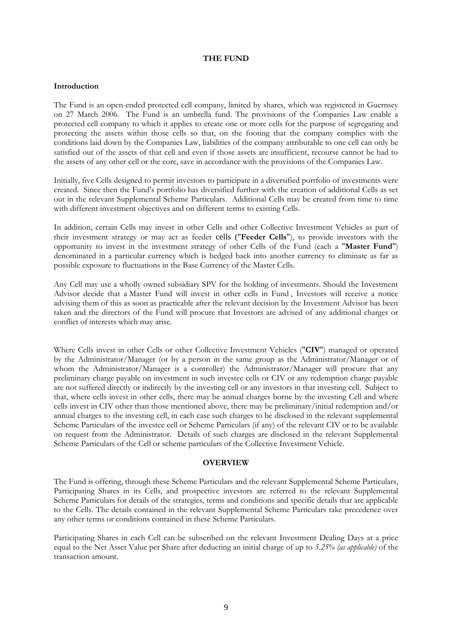### **THE FUND**

### <span id="page-8-0"></span>**Introduction**

The Fund is an open-ended protected cell company, limited by shares, which was registered in Guernsey on 27 March 2006. The Fund is an umbrella fund. The provisions of the Companies Law enable a protected cell company to which it applies to create one or more cells for the purpose of segregating and protecting the assets within those cells so that, on the footing that the company complies with the conditions laid down by the Companies Law, liabilities of the company attributable to one cell can only be satisfied out of the assets of that cell and even if those assets are insufficient, recourse cannot be had to the assets of any other cell or the core, save in accordance with the provisions of the Companies Law.

Initially, five Cells designed to permit investors to participate in a diversified portfolio of investments were created. Since then the Fund's portfolio has diversified further with the creation of additional Cells as set out in the relevant Supplemental Scheme Particulars. Additional Cells may be created from time to time with different investment objectives and on different terms to existing Cells.

In addition, certain Cells may invest in other Cells and other Collective Investment Vehicles as part of their investment strategy or may act as feeder cells ("**Feeder Cells**"), to provide investors with the opportunity to invest in the investment strategy of other Cells of the Fund (each a "**Master Fund**") denominated in a particular currency which is hedged back into another currency to eliminate as far as possible exposure to fluctuations in the Base Currency of the Master Cells.

Any Cell may use a wholly owned subsidiary SPV for the holding of investments. Should the Investment Advisor decide that a Master Fund will invest in other cells in Fund , Investors will receive a notice advising them of this as soon as practicable after the relevant decision by the Investment Advisor has been taken and the directors of the Fund will procure that Investors are advised of any additional charges or conflict of interests which may arise.

Where Cells invest in other Cells or other Collective Investment Vehicles ("**CIV**") managed or operated by the Administrator/Manager (or by a person in the same group as the Administrator/Manager or of whom the Administrator/Manager is a controller) the Administrator/Manager will procure that any preliminary charge payable on investment in such investee cells or CIV or any redemption charge payable are not suffered directly or indirectly by the investing cell or any investors in that investing cell. Subject to that, where cells invest in other cells, there may be annual charges borne by the investing Cell and where cells invest in CIV other than those mentioned above, there may be preliminary/initial redemption and/or annual charges to the investing cell, in each case such charges to be disclosed in the relevant supplemental Scheme Particulars of the investee cell or Scheme Particulars (if any) of the relevant CIV or to be available on request from the Administrator. Details of such charges are disclosed in the relevant Supplemental Scheme Particulars of the Cell or scheme particulars of the Collective Investment Vehicle.

### **OVERVIEW**

<span id="page-8-1"></span>The Fund is offering, through these Scheme Particulars and the relevant Supplemental Scheme Particulars, Participating Shares in its Cells, and prospective investors are referred to the relevant Supplemental Scheme Particulars for details of the strategies, terms and conditions and specific details that are applicable to the Cells. The details contained in the relevant Supplemental Scheme Particulars take precedence over any other terms or conditions contained in these Scheme Particulars.

Participating Shares in each Cell can be subscribed on the relevant Investment Dealing Days at a price equal to the Net Asset Value per Share after deducting an initial charge of up to *5.25% (as applicable)* of the transaction amount.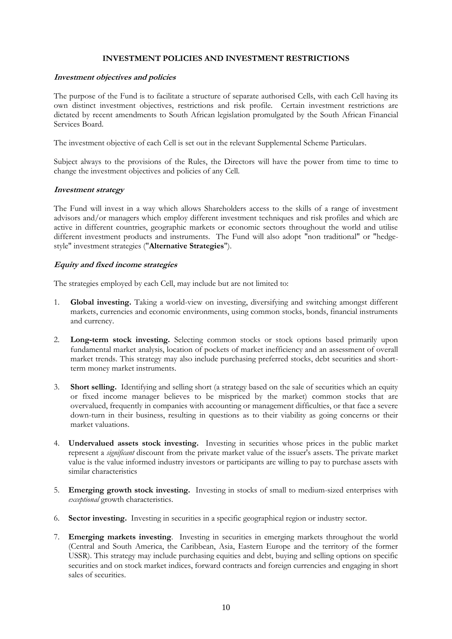# **INVESTMENT POLICIES AND INVESTMENT RESTRICTIONS**

### <span id="page-9-0"></span>**Investment objectives and policies**

The purpose of the Fund is to facilitate a structure of separate authorised Cells, with each Cell having its own distinct investment objectives, restrictions and risk profile. Certain investment restrictions are dictated by recent amendments to South African legislation promulgated by the South African Financial Services Board.

The investment objective of each Cell is set out in the relevant Supplemental Scheme Particulars.

Subject always to the provisions of the Rules, the Directors will have the power from time to time to change the investment objectives and policies of any Cell.

### **Investment strategy**

The Fund will invest in a way which allows Shareholders access to the skills of a range of investment advisors and/or managers which employ different investment techniques and risk profiles and which are active in different countries, geographic markets or economic sectors throughout the world and utilise different investment products and instruments. The Fund will also adopt "non traditional" or "hedgestyle" investment strategies ("**Alternative Strategies**").

# **Equity and fixed income strategies**

The strategies employed by each Cell, may include but are not limited to:

- 1. **Global investing.** Taking a world-view on investing, diversifying and switching amongst different markets, currencies and economic environments, using common stocks, bonds, financial instruments and currency.
- 2. **Long-term stock investing.** Selecting common stocks or stock options based primarily upon fundamental market analysis, location of pockets of market inefficiency and an assessment of overall market trends. This strategy may also include purchasing preferred stocks, debt securities and shortterm money market instruments.
- 3. **Short selling.** Identifying and selling short (a strategy based on the sale of securities which an equity or fixed income manager believes to be mispriced by the market) common stocks that are overvalued, frequently in companies with accounting or management difficulties, or that face a severe down-turn in their business, resulting in questions as to their viability as going concerns or their market valuations.
- 4. **Undervalued assets stock investing.** Investing in securities whose prices in the public market represent a *significant* discount from the private market value of the issuer's assets. The private market value is the value informed industry investors or participants are willing to pay to purchase assets with similar characteristics
- 5. **Emerging growth stock investing.** Investing in stocks of small to medium-sized enterprises with *exceptional* growth characteristics.
- 6. **Sector investing.** Investing in securities in a specific geographical region or industry sector.
- 7. **Emerging markets investing**. Investing in securities in emerging markets throughout the world (Central and South America, the Caribbean, Asia, Eastern Europe and the territory of the former USSR). This strategy may include purchasing equities and debt, buying and selling options on specific securities and on stock market indices, forward contracts and foreign currencies and engaging in short sales of securities.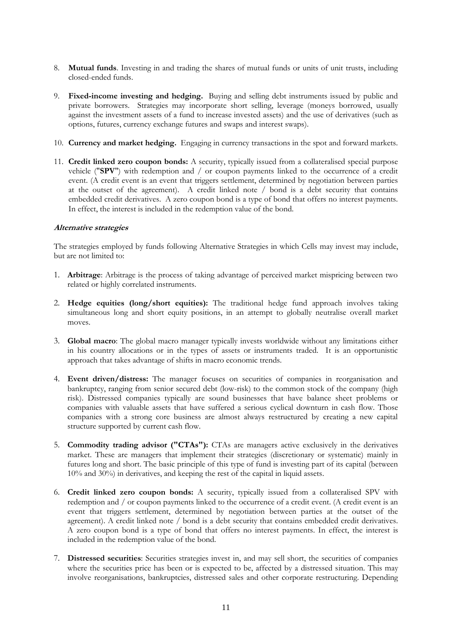- 8. **Mutual funds**. Investing in and trading the shares of mutual funds or units of unit trusts, including closed-ended funds.
- 9. **Fixed-income investing and hedging.** Buying and selling debt instruments issued by public and private borrowers. Strategies may incorporate short selling, leverage (moneys borrowed, usually against the investment assets of a fund to increase invested assets) and the use of derivatives (such as options, futures, currency exchange futures and swaps and interest swaps).
- 10. **Currency and market hedging.** Engaging in currency transactions in the spot and forward markets.
- 11. **Credit linked zero coupon bonds:** A security, typically issued from a collateralised special purpose vehicle ("**SPV**") with redemption and / or coupon payments linked to the occurrence of a credit event. (A credit event is an event that triggers settlement, determined by negotiation between parties at the outset of the agreement). A credit linked note / bond is a debt security that contains embedded credit derivatives. A zero coupon bond is a type of bond that offers no interest payments. In effect, the interest is included in the redemption value of the bond.

### **Alternative strategies**

The strategies employed by funds following Alternative Strategies in which Cells may invest may include, but are not limited to:

- 1. **Arbitrage**: Arbitrage is the process of taking advantage of perceived market mispricing between two related or highly correlated instruments.
- 2. **Hedge equities (long/short equities):** The traditional hedge fund approach involves taking simultaneous long and short equity positions, in an attempt to globally neutralise overall market moves.
- 3. **Global macro**: The global macro manager typically invests worldwide without any limitations either in his country allocations or in the types of assets or instruments traded. It is an opportunistic approach that takes advantage of shifts in macro economic trends.
- 4. **Event driven/distress:** The manager focuses on securities of companies in reorganisation and bankruptcy, ranging from senior secured debt (low-risk) to the common stock of the company (high risk). Distressed companies typically are sound businesses that have balance sheet problems or companies with valuable assets that have suffered a serious cyclical downturn in cash flow. Those companies with a strong core business are almost always restructured by creating a new capital structure supported by current cash flow.
- 5. **Commodity trading advisor ("CTAs"):** CTAs are managers active exclusively in the derivatives market. These are managers that implement their strategies (discretionary or systematic) mainly in futures long and short. The basic principle of this type of fund is investing part of its capital (between 10% and 30%) in derivatives, and keeping the rest of the capital in liquid assets.
- 6. **Credit linked zero coupon bonds:** A security, typically issued from a collateralised SPV with redemption and / or coupon payments linked to the occurrence of a credit event. (A credit event is an event that triggers settlement, determined by negotiation between parties at the outset of the agreement). A credit linked note / bond is a debt security that contains embedded credit derivatives. A zero coupon bond is a type of bond that offers no interest payments. In effect, the interest is included in the redemption value of the bond.
- 7. **Distressed securities**: Securities strategies invest in, and may sell short, the securities of companies where the securities price has been or is expected to be, affected by a distressed situation. This may involve reorganisations, bankruptcies, distressed sales and other corporate restructuring. Depending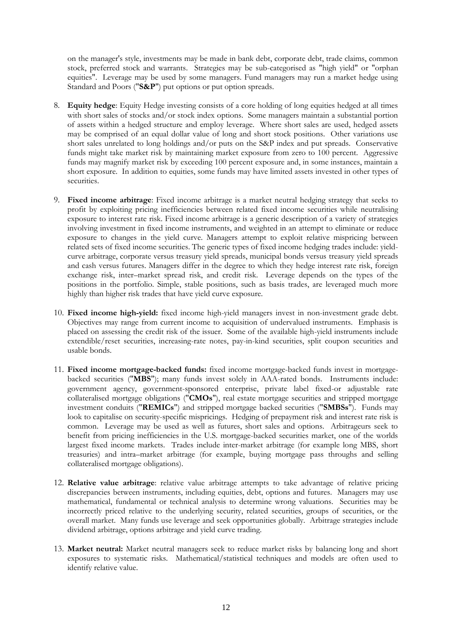on the manager's style, investments may be made in bank debt, corporate debt, trade claims, common stock, preferred stock and warrants. Strategies may be sub-categorised as "high yield" or "orphan equities". Leverage may be used by some managers. Fund managers may run a market hedge using Standard and Poors ("**S&P**") put options or put option spreads.

- 8. **Equity hedge**: Equity Hedge investing consists of a core holding of long equities hedged at all times with short sales of stocks and/or stock index options. Some managers maintain a substantial portion of assets within a hedged structure and employ leverage. Where short sales are used, hedged assets may be comprised of an equal dollar value of long and short stock positions. Other variations use short sales unrelated to long holdings and/or puts on the S&P index and put spreads. Conservative funds might take market risk by maintaining market exposure from zero to 100 percent. Aggressive funds may magnify market risk by exceeding 100 percent exposure and, in some instances, maintain a short exposure. In addition to equities, some funds may have limited assets invested in other types of securities.
- 9. **Fixed income arbitrage**: Fixed income arbitrage is a market neutral hedging strategy that seeks to profit by exploiting pricing inefficiencies between related fixed income securities while neutralising exposure to interest rate risk. Fixed income arbitrage is a generic description of a variety of strategies involving investment in fixed income instruments, and weighted in an attempt to eliminate or reduce exposure to changes in the yield curve. Managers attempt to exploit relative mispricing between related sets of fixed income securities. The generic types of fixed income hedging trades include: yieldcurve arbitrage, corporate versus treasury yield spreads, municipal bonds versus treasury yield spreads and cash versus futures. Managers differ in the degree to which they hedge interest rate risk, foreign exchange risk, inter–market spread risk, and credit risk. Leverage depends on the types of the positions in the portfolio. Simple, stable positions, such as basis trades, are leveraged much more highly than higher risk trades that have yield curve exposure.
- 10. **Fixed income high-yield:** fixed income high-yield managers invest in non-investment grade debt. Objectives may range from current income to acquisition of undervalued instruments. Emphasis is placed on assessing the credit risk of the issuer. Some of the available high-yield instruments include extendible/reset securities, increasing-rate notes, pay-in-kind securities, split coupon securities and usable bonds.
- 11. **Fixed income mortgage-backed funds:** fixed income mortgage-backed funds invest in mortgagebacked securities ("**MBS**"); many funds invest solely in AAA-rated bonds. Instruments include: government agency, government-sponsored enterprise, private label fixed-or adjustable rate collateralised mortgage obligations ("**CMOs**"), real estate mortgage securities and stripped mortgage investment conduits ("**REMICs**") and stripped mortgage backed securities ("**SMBSs**"). Funds may look to capitalise on security-specific mispricings. Hedging of prepayment risk and interest rate risk is common. Leverage may be used as well as futures, short sales and options. Arbitrageurs seek to benefit from pricing inefficiencies in the U.S. mortgage-backed securities market, one of the worlds largest fixed income markets. Trades include inter-market arbitrage (for example long MBS, short treasuries) and intra–market arbitrage (for example, buying mortgage pass throughs and selling collateralised mortgage obligations).
- 12. **Relative value arbitrage**: relative value arbitrage attempts to take advantage of relative pricing discrepancies between instruments, including equities, debt, options and futures. Managers may use mathematical, fundamental or technical analysis to determine wrong valuations. Securities may be incorrectly priced relative to the underlying security, related securities, groups of securities, or the overall market. Many funds use leverage and seek opportunities globally. Arbitrage strategies include dividend arbitrage, options arbitrage and yield curve trading.
- 13. **Market neutral:** Market neutral managers seek to reduce market risks by balancing long and short exposures to systematic risks. Mathematical/statistical techniques and models are often used to identify relative value.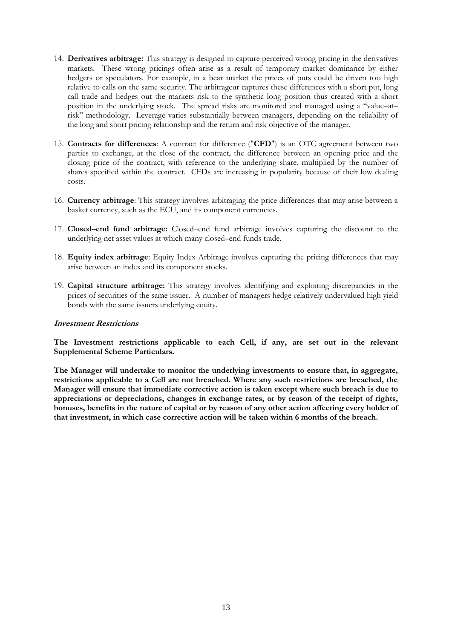- 14. **Derivatives arbitrage:** This strategy is designed to capture perceived wrong pricing in the derivatives markets. These wrong pricings often arise as a result of temporary market dominance by either hedgers or speculators. For example, in a bear market the prices of puts could be driven too high relative to calls on the same security. The arbitrageur captures these differences with a short put, long call trade and hedges out the markets risk to the synthetic long position thus created with a short position in the underlying stock. The spread risks are monitored and managed using a "value–at– risk" methodology. Leverage varies substantially between managers, depending on the reliability of the long and short pricing relationship and the return and risk objective of the manager.
- 15. **Contracts for differences**: A contract for difference ("**CFD**") is an OTC agreement between two parties to exchange, at the close of the contract, the difference between an opening price and the closing price of the contract, with reference to the underlying share, multiplied by the number of shares specified within the contract. CFDs are increasing in popularity because of their low dealing costs.
- 16. **Currency arbitrage**: This strategy involves arbitraging the price differences that may arise between a basket currency, such as the ECU, and its component currencies.
- 17. **Closed–end fund arbitrage:** Closed–end fund arbitrage involves capturing the discount to the underlying net asset values at which many closed–end funds trade.
- 18. **Equity index arbitrage**: Equity Index Arbitrage involves capturing the pricing differences that may arise between an index and its component stocks.
- 19. **Capital structure arbitrage:** This strategy involves identifying and exploiting discrepancies in the prices of securities of the same issuer. A number of managers hedge relatively undervalued high yield bonds with the same issuers underlying equity.

### **Investment Restrictions**

**The Investment restrictions applicable to each Cell, if any, are set out in the relevant Supplemental Scheme Particulars.**

**The Manager will undertake to monitor the underlying investments to ensure that, in aggregate, restrictions applicable to a Cell are not breached. Where any such restrictions are breached, the Manager will ensure that immediate corrective action is taken except where such breach is due to appreciations or depreciations, changes in exchange rates, or by reason of the receipt of rights, bonuses, benefits in the nature of capital or by reason of any other action affecting every holder of that investment, in which case corrective action will be taken within 6 months of the breach.**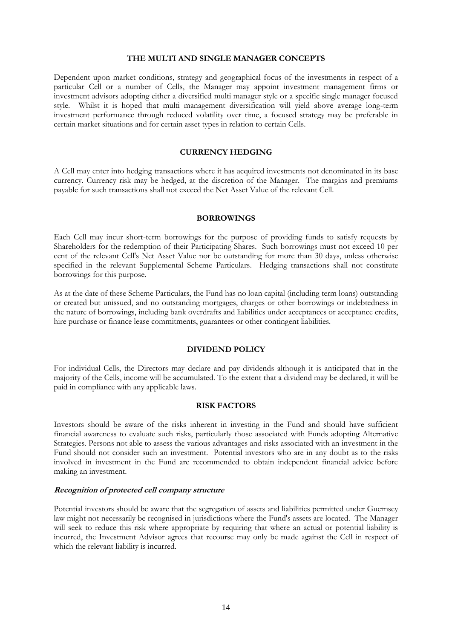#### **THE MULTI AND SINGLE MANAGER CONCEPTS**

Dependent upon market conditions, strategy and geographical focus of the investments in respect of a particular Cell or a number of Cells, the Manager may appoint investment management firms or investment advisors adopting either a diversified multi manager style or a specific single manager focused style. Whilst it is hoped that multi management diversification will yield above average long-term investment performance through reduced volatility over time, a focused strategy may be preferable in certain market situations and for certain asset types in relation to certain Cells.

### **CURRENCY HEDGING**

<span id="page-13-0"></span>A Cell may enter into hedging transactions where it has acquired investments not denominated in its base currency. Currency risk may be hedged, at the discretion of the Manager. The margins and premiums payable for such transactions shall not exceed the Net Asset Value of the relevant Cell.

#### **BORROWINGS**

<span id="page-13-1"></span>Each Cell may incur short-term borrowings for the purpose of providing funds to satisfy requests by Shareholders for the redemption of their Participating Shares. Such borrowings must not exceed 10 per cent of the relevant Cell's Net Asset Value nor be outstanding for more than 30 days, unless otherwise specified in the relevant Supplemental Scheme Particulars. Hedging transactions shall not constitute borrowings for this purpose.

As at the date of these Scheme Particulars, the Fund has no loan capital (including term loans) outstanding or created but unissued, and no outstanding mortgages, charges or other borrowings or indebtedness in the nature of borrowings, including bank overdrafts and liabilities under acceptances or acceptance credits, hire purchase or finance lease commitments, guarantees or other contingent liabilities.

### **DIVIDEND POLICY**

<span id="page-13-2"></span>For individual Cells, the Directors may declare and pay dividends although it is anticipated that in the majority of the Cells, income will be accumulated. To the extent that a dividend may be declared, it will be paid in compliance with any applicable laws.

# **RISK FACTORS**

<span id="page-13-3"></span>Investors should be aware of the risks inherent in investing in the Fund and should have sufficient financial awareness to evaluate such risks, particularly those associated with Funds adopting Alternative Strategies. Persons not able to assess the various advantages and risks associated with an investment in the Fund should not consider such an investment. Potential investors who are in any doubt as to the risks involved in investment in the Fund are recommended to obtain independent financial advice before making an investment.

### **Recognition of protected cell company structure**

Potential investors should be aware that the segregation of assets and liabilities permitted under Guernsey law might not necessarily be recognised in jurisdictions where the Fund's assets are located. The Manager will seek to reduce this risk where appropriate by requiring that where an actual or potential liability is incurred, the Investment Advisor agrees that recourse may only be made against the Cell in respect of which the relevant liability is incurred.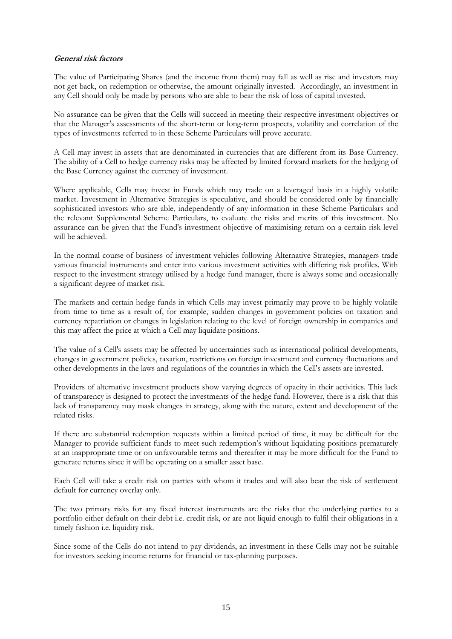## **General risk factors**

The value of Participating Shares (and the income from them) may fall as well as rise and investors may not get back, on redemption or otherwise, the amount originally invested. Accordingly, an investment in any Cell should only be made by persons who are able to bear the risk of loss of capital invested.

No assurance can be given that the Cells will succeed in meeting their respective investment objectives or that the Manager's assessments of the short-term or long-term prospects, volatility and correlation of the types of investments referred to in these Scheme Particulars will prove accurate.

A Cell may invest in assets that are denominated in currencies that are different from its Base Currency. The ability of a Cell to hedge currency risks may be affected by limited forward markets for the hedging of the Base Currency against the currency of investment.

Where applicable, Cells may invest in Funds which may trade on a leveraged basis in a highly volatile market. Investment in Alternative Strategies is speculative, and should be considered only by financially sophisticated investors who are able, independently of any information in these Scheme Particulars and the relevant Supplemental Scheme Particulars, to evaluate the risks and merits of this investment. No assurance can be given that the Fund's investment objective of maximising return on a certain risk level will be achieved.

In the normal course of business of investment vehicles following Alternative Strategies, managers trade various financial instruments and enter into various investment activities with differing risk profiles. With respect to the investment strategy utilised by a hedge fund manager, there is always some and occasionally a significant degree of market risk.

The markets and certain hedge funds in which Cells may invest primarily may prove to be highly volatile from time to time as a result of, for example, sudden changes in government policies on taxation and currency repatriation or changes in legislation relating to the level of foreign ownership in companies and this may affect the price at which a Cell may liquidate positions.

The value of a Cell's assets may be affected by uncertainties such as international political developments, changes in government policies, taxation, restrictions on foreign investment and currency fluctuations and other developments in the laws and regulations of the countries in which the Cell's assets are invested.

Providers of alternative investment products show varying degrees of opacity in their activities. This lack of transparency is designed to protect the investments of the hedge fund. However, there is a risk that this lack of transparency may mask changes in strategy, along with the nature, extent and development of the related risks.

If there are substantial redemption requests within a limited period of time, it may be difficult for the Manager to provide sufficient funds to meet such redemption's without liquidating positions prematurely at an inappropriate time or on unfavourable terms and thereafter it may be more difficult for the Fund to generate returns since it will be operating on a smaller asset base.

Each Cell will take a credit risk on parties with whom it trades and will also bear the risk of settlement default for currency overlay only.

The two primary risks for any fixed interest instruments are the risks that the underlying parties to a portfolio either default on their debt i.e. credit risk, or are not liquid enough to fulfil their obligations in a timely fashion i.e. liquidity risk.

Since some of the Cells do not intend to pay dividends, an investment in these Cells may not be suitable for investors seeking income returns for financial or tax-planning purposes.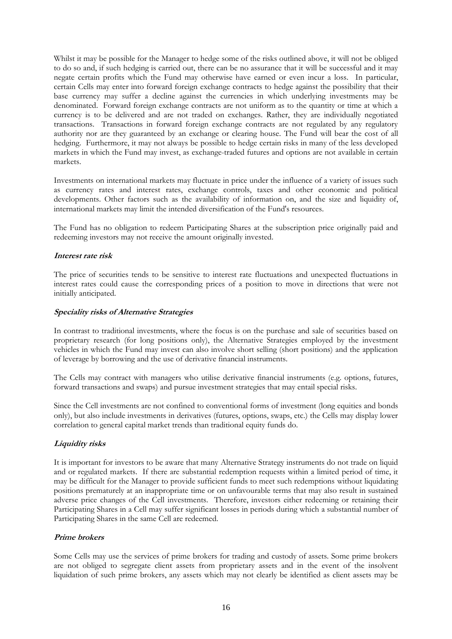Whilst it may be possible for the Manager to hedge some of the risks outlined above, it will not be obliged to do so and, if such hedging is carried out, there can be no assurance that it will be successful and it may negate certain profits which the Fund may otherwise have earned or even incur a loss. In particular, certain Cells may enter into forward foreign exchange contracts to hedge against the possibility that their base currency may suffer a decline against the currencies in which underlying investments may be denominated. Forward foreign exchange contracts are not uniform as to the quantity or time at which a currency is to be delivered and are not traded on exchanges. Rather, they are individually negotiated transactions. Transactions in forward foreign exchange contracts are not regulated by any regulatory authority nor are they guaranteed by an exchange or clearing house. The Fund will bear the cost of all hedging. Furthermore, it may not always be possible to hedge certain risks in many of the less developed markets in which the Fund may invest, as exchange-traded futures and options are not available in certain markets.

Investments on international markets may fluctuate in price under the influence of a variety of issues such as currency rates and interest rates, exchange controls, taxes and other economic and political developments. Other factors such as the availability of information on, and the size and liquidity of, international markets may limit the intended diversification of the Fund's resources.

The Fund has no obligation to redeem Participating Shares at the subscription price originally paid and redeeming investors may not receive the amount originally invested.

# **Interest rate risk**

The price of securities tends to be sensitive to interest rate fluctuations and unexpected fluctuations in interest rates could cause the corresponding prices of a position to move in directions that were not initially anticipated.

# **Speciality risks of Alternative Strategies**

In contrast to traditional investments, where the focus is on the purchase and sale of securities based on proprietary research (for long positions only), the Alternative Strategies employed by the investment vehicles in which the Fund may invest can also involve short selling (short positions) and the application of leverage by borrowing and the use of derivative financial instruments.

The Cells may contract with managers who utilise derivative financial instruments (e.g. options, futures, forward transactions and swaps) and pursue investment strategies that may entail special risks.

Since the Cell investments are not confined to conventional forms of investment (long equities and bonds only), but also include investments in derivatives (futures, options, swaps, etc.) the Cells may display lower correlation to general capital market trends than traditional equity funds do.

# **Liquidity risks**

It is important for investors to be aware that many Alternative Strategy instruments do not trade on liquid and or regulated markets. If there are substantial redemption requests within a limited period of time, it may be difficult for the Manager to provide sufficient funds to meet such redemptions without liquidating positions prematurely at an inappropriate time or on unfavourable terms that may also result in sustained adverse price changes of the Cell investments. Therefore, investors either redeeming or retaining their Participating Shares in a Cell may suffer significant losses in periods during which a substantial number of Participating Shares in the same Cell are redeemed.

# **Prime brokers**

Some Cells may use the services of prime brokers for trading and custody of assets. Some prime brokers are not obliged to segregate client assets from proprietary assets and in the event of the insolvent liquidation of such prime brokers, any assets which may not clearly be identified as client assets may be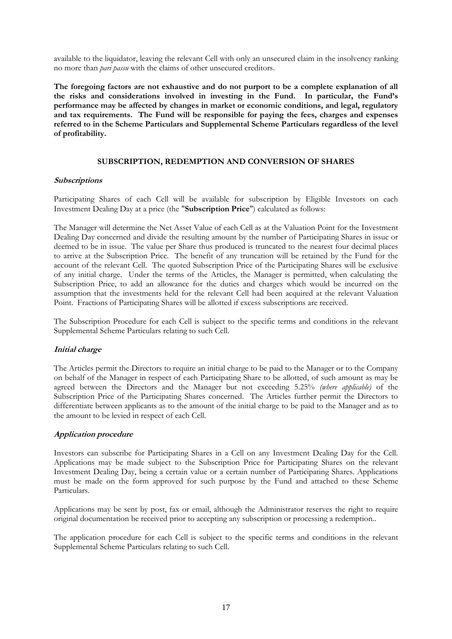available to the liquidator, leaving the relevant Cell with only an unsecured claim in the insolvency ranking no more than *pari passu* with the claims of other unsecured creditors.

**The foregoing factors are not exhaustive and do not purport to be a complete explanation of all the risks and considerations involved in investing in the Fund. In particular, the Fund's performance may be affected by changes in market or economic conditions, and legal, regulatory and tax requirements. The Fund will be responsible for paying the fees, charges and expenses referred to in the Scheme Particulars and Supplemental Scheme Particulars regardless of the level of profitability.**

# **SUBSCRIPTION, REDEMPTION AND CONVERSION OF SHARES**

### <span id="page-16-0"></span>**Subscriptions**

Participating Shares of each Cell will be available for subscription by Eligible Investors on each Investment Dealing Day at a price (the "**Subscription Price**") calculated as follows:

The Manager will determine the Net Asset Value of each Cell as at the Valuation Point for the Investment Dealing Day concerned and divide the resulting amount by the number of Participating Shares in issue or deemed to be in issue. The value per Share thus produced is truncated to the nearest four decimal places to arrive at the Subscription Price. The benefit of any truncation will be retained by the Fund for the account of the relevant Cell. The quoted Subscription Price of the Participating Shares will be exclusive of any initial charge. Under the terms of the Articles, the Manager is permitted, when calculating the Subscription Price, to add an allowance for the duties and charges which would be incurred on the assumption that the investments held for the relevant Cell had been acquired at the relevant Valuation Point. Fractions of Participating Shares will be allotted if excess subscriptions are received.

The Subscription Procedure for each Cell is subject to the specific terms and conditions in the relevant Supplemental Scheme Particulars relating to such Cell.

### **Initial charge**

The Articles permit the Directors to require an initial charge to be paid to the Manager or to the Company on behalf of the Manager in respect of each Participating Share to be allotted, of such amount as may be agreed between the Directors and the Manager but not exceeding 5.25% *(where applicable)* of the Subscription Price of the Participating Shares concerned. The Articles further permit the Directors to differentiate between applicants as to the amount of the initial charge to be paid to the Manager and as to the amount to be levied in respect of each Cell.

### **Application procedure**

Investors can subscribe for Participating Shares in a Cell on any Investment Dealing Day for the Cell. Applications may be made subject to the Subscription Price for Participating Shares on the relevant Investment Dealing Day, being a certain value or a certain number of Participating Shares. Applications must be made on the form approved for such purpose by the Fund and attached to these Scheme Particulars.

Applications may be sent by post, fax or email, although the Administrator reserves the right to require original documentation be received prior to accepting any subscription or processing a redemption..

The application procedure for each Cell is subject to the specific terms and conditions in the relevant Supplemental Scheme Particulars relating to such Cell.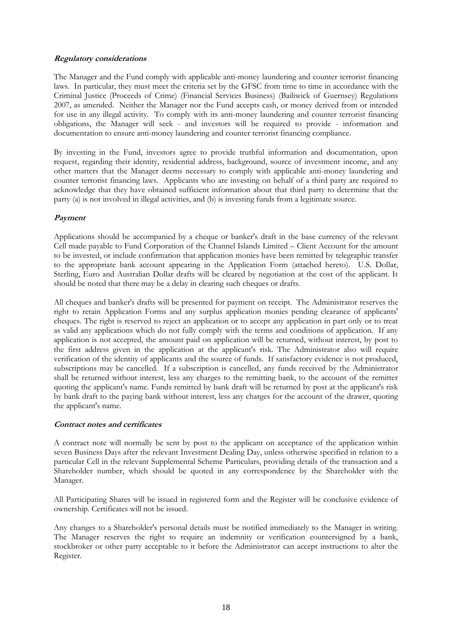# **Regulatory considerations**

The Manager and the Fund comply with applicable anti-money laundering and counter terrorist financing laws. In particular, they must meet the criteria set by the GFSC from time to time in accordance with the Criminal Justice (Proceeds of Crime) (Financial Services Business) (Bailiwick of Guernsey) Regulations 2007, as amended. Neither the Manager nor the Fund accepts cash, or money derived from or intended for use in any illegal activity. To comply with its anti-money laundering and counter terrorist financing obligations, the Manager will seek - and investors will be required to provide - information and documentation to ensure anti-money laundering and counter terrorist financing compliance.

By investing in the Fund, investors agree to provide truthful information and documentation, upon request, regarding their identity, residential address, background, source of investment income, and any other matters that the Manager deems necessary to comply with applicable anti-money laundering and counter terrorist financing laws. Applicants who are investing on behalf of a third party are required to acknowledge that they have obtained sufficient information about that third party to determine that the party (a) is not involved in illegal activities, and (b) is investing funds from a legitimate source.

# **Payment**

Applications should be accompanied by a cheque or banker's draft in the base currency of the relevant Cell made payable to Fund Corporation of the Channel Islands Limited – Client Account for the amount to be invested, or include confirmation that application monies have been remitted by telegraphic transfer to the appropriate bank account appearing in the Application Form (attached hereto). U.S. Dollar, Sterling, Euro and Australian Dollar drafts will be cleared by negotiation at the cost of the applicant. It should be noted that there may be a delay in clearing such cheques or drafts.

All cheques and banker's drafts will be presented for payment on receipt. The Administrator reserves the right to retain Application Forms and any surplus application monies pending clearance of applicants' cheques. The right is reserved to reject an application or to accept any application in part only or to treat as valid any applications which do not fully comply with the terms and conditions of application. If any application is not accepted, the amount paid on application will be returned, without interest, by post to the first address given in the application at the applicant's risk. The Administrator also will require verification of the identity of applicants and the source of funds. If satisfactory evidence is not produced, subscriptions may be cancelled. If a subscription is cancelled, any funds received by the Administrator shall be returned without interest, less any charges to the remitting bank, to the account of the remitter quoting the applicant's name. Funds remitted by bank draft will be returned by post at the applicant's risk by bank draft to the paying bank without interest, less any charges for the account of the drawer, quoting the applicant's name.

# **Contract notes and certificates**

A contract note will normally be sent by post to the applicant on acceptance of the application within seven Business Days after the relevant Investment Dealing Day, unless otherwise specified in relation to a particular Cell in the relevant Supplemental Scheme Particulars, providing details of the transaction and a Shareholder number, which should be quoted in any correspondence by the Shareholder with the Manager.

All Participating Shares will be issued in registered form and the Register will be conclusive evidence of ownership. Certificates will not be issued.

Any changes to a Shareholder's personal details must be notified immediately to the Manager in writing. The Manager reserves the right to require an indemnity or verification countersigned by a bank, stockbroker or other party acceptable to it before the Administrator can accept instructions to alter the Register.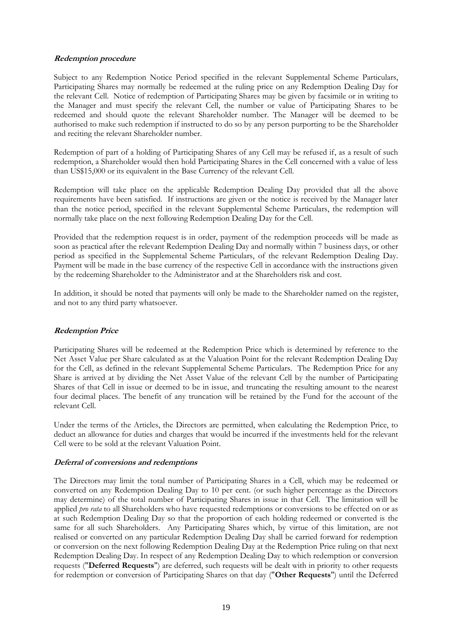# **Redemption procedure**

Subject to any Redemption Notice Period specified in the relevant Supplemental Scheme Particulars, Participating Shares may normally be redeemed at the ruling price on any Redemption Dealing Day for the relevant Cell. Notice of redemption of Participating Shares may be given by facsimile or in writing to the Manager and must specify the relevant Cell, the number or value of Participating Shares to be redeemed and should quote the relevant Shareholder number. The Manager will be deemed to be authorised to make such redemption if instructed to do so by any person purporting to be the Shareholder and reciting the relevant Shareholder number.

Redemption of part of a holding of Participating Shares of any Cell may be refused if, as a result of such redemption, a Shareholder would then hold Participating Shares in the Cell concerned with a value of less than US\$15,000 or its equivalent in the Base Currency of the relevant Cell.

Redemption will take place on the applicable Redemption Dealing Day provided that all the above requirements have been satisfied. If instructions are given or the notice is received by the Manager later than the notice period, specified in the relevant Supplemental Scheme Particulars, the redemption will normally take place on the next following Redemption Dealing Day for the Cell.

Provided that the redemption request is in order, payment of the redemption proceeds will be made as soon as practical after the relevant Redemption Dealing Day and normally within 7 business days, or other period as specified in the Supplemental Scheme Particulars, of the relevant Redemption Dealing Day. Payment will be made in the base currency of the respective Cell in accordance with the instructions given by the redeeming Shareholder to the Administrator and at the Shareholders risk and cost.

In addition, it should be noted that payments will only be made to the Shareholder named on the register, and not to any third party whatsoever.

# **Redemption Price**

Participating Shares will be redeemed at the Redemption Price which is determined by reference to the Net Asset Value per Share calculated as at the Valuation Point for the relevant Redemption Dealing Day for the Cell, as defined in the relevant Supplemental Scheme Particulars. The Redemption Price for any Share is arrived at by dividing the Net Asset Value of the relevant Cell by the number of Participating Shares of that Cell in issue or deemed to be in issue, and truncating the resulting amount to the nearest four decimal places. The benefit of any truncation will be retained by the Fund for the account of the relevant Cell.

Under the terms of the Articles, the Directors are permitted, when calculating the Redemption Price, to deduct an allowance for duties and charges that would be incurred if the investments held for the relevant Cell were to be sold at the relevant Valuation Point.

### **Deferral of conversions and redemptions**

The Directors may limit the total number of Participating Shares in a Cell, which may be redeemed or converted on any Redemption Dealing Day to 10 per cent. (or such higher percentage as the Directors may determine) of the total number of Participating Shares in issue in that Cell. The limitation will be applied *pro rata* to all Shareholders who have requested redemptions or conversions to be effected on or as at such Redemption Dealing Day so that the proportion of each holding redeemed or converted is the same for all such Shareholders. Any Participating Shares which, by virtue of this limitation, are not realised or converted on any particular Redemption Dealing Day shall be carried forward for redemption or conversion on the next following Redemption Dealing Day at the Redemption Price ruling on that next Redemption Dealing Day. In respect of any Redemption Dealing Day to which redemption or conversion requests ("**Deferred Requests**") are deferred, such requests will be dealt with in priority to other requests for redemption or conversion of Participating Shares on that day ("**Other Requests**") until the Deferred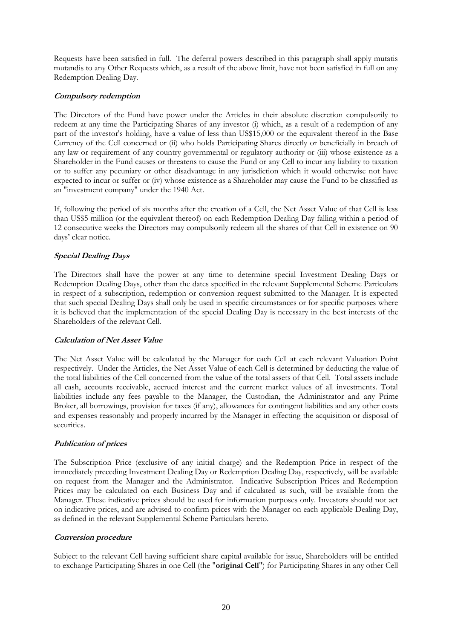Requests have been satisfied in full. The deferral powers described in this paragraph shall apply mutatis mutandis to any Other Requests which, as a result of the above limit, have not been satisfied in full on any Redemption Dealing Day.

# **Compulsory redemption**

The Directors of the Fund have power under the Articles in their absolute discretion compulsorily to redeem at any time the Participating Shares of any investor (i) which, as a result of a redemption of any part of the investor's holding, have a value of less than US\$15,000 or the equivalent thereof in the Base Currency of the Cell concerned or (ii) who holds Participating Shares directly or beneficially in breach of any law or requirement of any country governmental or regulatory authority or (iii) whose existence as a Shareholder in the Fund causes or threatens to cause the Fund or any Cell to incur any liability to taxation or to suffer any pecuniary or other disadvantage in any jurisdiction which it would otherwise not have expected to incur or suffer or (iv) whose existence as a Shareholder may cause the Fund to be classified as an "investment company" under the 1940 Act.

If, following the period of six months after the creation of a Cell, the Net Asset Value of that Cell is less than US\$5 million (or the equivalent thereof) on each Redemption Dealing Day falling within a period of 12 consecutive weeks the Directors may compulsorily redeem all the shares of that Cell in existence on 90 days' clear notice.

# **Special Dealing Days**

The Directors shall have the power at any time to determine special Investment Dealing Days or Redemption Dealing Days, other than the dates specified in the relevant Supplemental Scheme Particulars in respect of a subscription, redemption or conversion request submitted to the Manager. It is expected that such special Dealing Days shall only be used in specific circumstances or for specific purposes where it is believed that the implementation of the special Dealing Day is necessary in the best interests of the Shareholders of the relevant Cell.

# **Calculation of Net Asset Value**

The Net Asset Value will be calculated by the Manager for each Cell at each relevant Valuation Point respectively. Under the Articles, the Net Asset Value of each Cell is determined by deducting the value of the total liabilities of the Cell concerned from the value of the total assets of that Cell. Total assets include all cash, accounts receivable, accrued interest and the current market values of all investments. Total liabilities include any fees payable to the Manager, the Custodian, the Administrator and any Prime Broker, all borrowings, provision for taxes (if any), allowances for contingent liabilities and any other costs and expenses reasonably and properly incurred by the Manager in effecting the acquisition or disposal of securities.

# **Publication of prices**

The Subscription Price (exclusive of any initial charge) and the Redemption Price in respect of the immediately preceding Investment Dealing Day or Redemption Dealing Day, respectively, will be available on request from the Manager and the Administrator. Indicative Subscription Prices and Redemption Prices may be calculated on each Business Day and if calculated as such, will be available from the Manager. These indicative prices should be used for information purposes only. Investors should not act on indicative prices, and are advised to confirm prices with the Manager on each applicable Dealing Day, as defined in the relevant Supplemental Scheme Particulars hereto.

# **Conversion procedure**

Subject to the relevant Cell having sufficient share capital available for issue, Shareholders will be entitled to exchange Participating Shares in one Cell (the "**original Cell**") for Participating Shares in any other Cell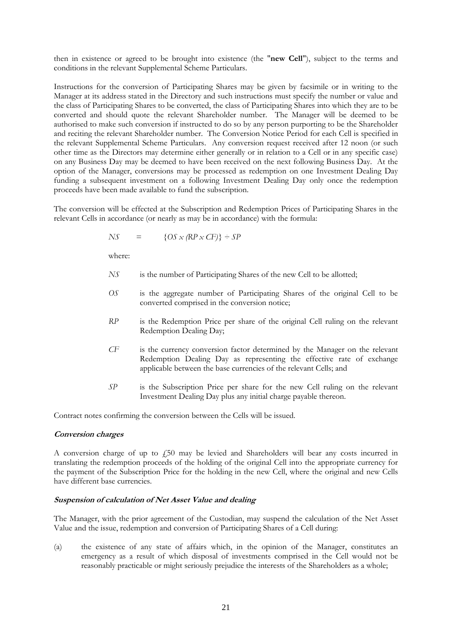then in existence or agreed to be brought into existence (the "**new Cell**"), subject to the terms and conditions in the relevant Supplemental Scheme Particulars.

Instructions for the conversion of Participating Shares may be given by facsimile or in writing to the Manager at its address stated in the Directory and such instructions must specify the number or value and the class of Participating Shares to be converted, the class of Participating Shares into which they are to be converted and should quote the relevant Shareholder number. The Manager will be deemed to be authorised to make such conversion if instructed to do so by any person purporting to be the Shareholder and reciting the relevant Shareholder number. The Conversion Notice Period for each Cell is specified in the relevant Supplemental Scheme Particulars. Any conversion request received after 12 noon (or such other time as the Directors may determine either generally or in relation to a Cell or in any specific case) on any Business Day may be deemed to have been received on the next following Business Day. At the option of the Manager, conversions may be processed as redemption on one Investment Dealing Day funding a subsequent investment on a following Investment Dealing Day only once the redemption proceeds have been made available to fund the subscription.

The conversion will be effected at the Subscription and Redemption Prices of Participating Shares in the relevant Cells in accordance (or nearly as may be in accordance) with the formula:

$$
NS = \{OS \times (RP \times CF)\} \div SP
$$

where:

- *NS* is the number of Participating Shares of the new Cell to be allotted;
- *OS* is the aggregate number of Participating Shares of the original Cell to be converted comprised in the conversion notice;
- *RP* is the Redemption Price per share of the original Cell ruling on the relevant Redemption Dealing Day;
- *CF* is the currency conversion factor determined by the Manager on the relevant Redemption Dealing Day as representing the effective rate of exchange applicable between the base currencies of the relevant Cells; and
- *SP* is the Subscription Price per share for the new Cell ruling on the relevant Investment Dealing Day plus any initial charge payable thereon.

Contract notes confirming the conversion between the Cells will be issued.

### **Conversion charges**

A conversion charge of up to  $\dot{\gamma}$  50 may be levied and Shareholders will bear any costs incurred in translating the redemption proceeds of the holding of the original Cell into the appropriate currency for the payment of the Subscription Price for the holding in the new Cell, where the original and new Cells have different base currencies.

### **Suspension of calculation of Net Asset Value and dealing**

The Manager, with the prior agreement of the Custodian, may suspend the calculation of the Net Asset Value and the issue, redemption and conversion of Participating Shares of a Cell during:

(a) the existence of any state of affairs which, in the opinion of the Manager, constitutes an emergency as a result of which disposal of investments comprised in the Cell would not be reasonably practicable or might seriously prejudice the interests of the Shareholders as a whole;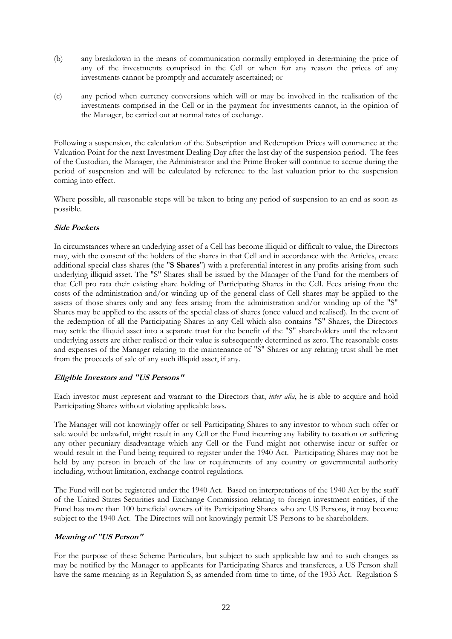- (b) any breakdown in the means of communication normally employed in determining the price of any of the investments comprised in the Cell or when for any reason the prices of any investments cannot be promptly and accurately ascertained; or
- (c) any period when currency conversions which will or may be involved in the realisation of the investments comprised in the Cell or in the payment for investments cannot, in the opinion of the Manager, be carried out at normal rates of exchange.

Following a suspension, the calculation of the Subscription and Redemption Prices will commence at the Valuation Point for the next Investment Dealing Day after the last day of the suspension period. The fees of the Custodian, the Manager, the Administrator and the Prime Broker will continue to accrue during the period of suspension and will be calculated by reference to the last valuation prior to the suspension coming into effect.

Where possible, all reasonable steps will be taken to bring any period of suspension to an end as soon as possible.

# **Side Pockets**

In circumstances where an underlying asset of a Cell has become illiquid or difficult to value, the Directors may, with the consent of the holders of the shares in that Cell and in accordance with the Articles, create additional special class shares (the "**S Shares**") with a preferential interest in any profits arising from such underlying illiquid asset. The "S" Shares shall be issued by the Manager of the Fund for the members of that Cell pro rata their existing share holding of Participating Shares in the Cell. Fees arising from the costs of the administration and/or winding up of the general class of Cell shares may be applied to the assets of those shares only and any fees arising from the administration and/or winding up of the "S" Shares may be applied to the assets of the special class of shares (once valued and realised). In the event of the redemption of all the Participating Shares in any Cell which also contains "S" Shares, the Directors may settle the illiquid asset into a separate trust for the benefit of the "S" shareholders until the relevant underlying assets are either realised or their value is subsequently determined as zero. The reasonable costs and expenses of the Manager relating to the maintenance of "S" Shares or any relating trust shall be met from the proceeds of sale of any such illiquid asset, if any.

# **Eligible Investors and "US Persons"**

Each investor must represent and warrant to the Directors that, *inter alia*, he is able to acquire and hold Participating Shares without violating applicable laws.

The Manager will not knowingly offer or sell Participating Shares to any investor to whom such offer or sale would be unlawful, might result in any Cell or the Fund incurring any liability to taxation or suffering any other pecuniary disadvantage which any Cell or the Fund might not otherwise incur or suffer or would result in the Fund being required to register under the 1940 Act. Participating Shares may not be held by any person in breach of the law or requirements of any country or governmental authority including, without limitation, exchange control regulations.

The Fund will not be registered under the 1940 Act. Based on interpretations of the 1940 Act by the staff of the United States Securities and Exchange Commission relating to foreign investment entities, if the Fund has more than 100 beneficial owners of its Participating Shares who are US Persons, it may become subject to the 1940 Act. The Directors will not knowingly permit US Persons to be shareholders.

# **Meaning of "US Person"**

For the purpose of these Scheme Particulars, but subject to such applicable law and to such changes as may be notified by the Manager to applicants for Participating Shares and transferees, a US Person shall have the same meaning as in Regulation S, as amended from time to time, of the 1933 Act. Regulation S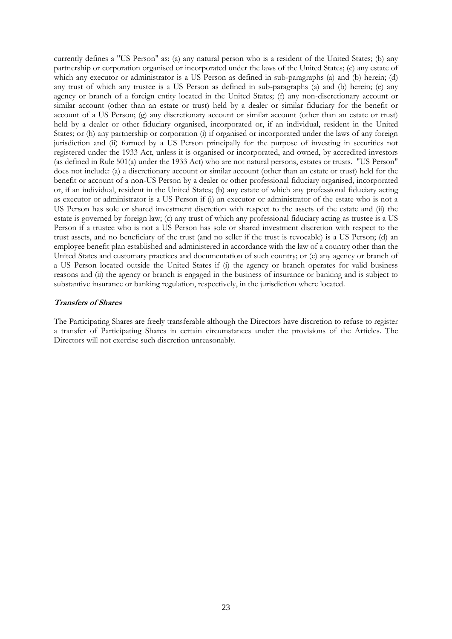currently defines a "US Person" as: (a) any natural person who is a resident of the United States; (b) any partnership or corporation organised or incorporated under the laws of the United States; (c) any estate of which any executor or administrator is a US Person as defined in sub-paragraphs (a) and (b) herein; (d) any trust of which any trustee is a US Person as defined in sub-paragraphs (a) and (b) herein; (e) any agency or branch of a foreign entity located in the United States; (f) any non-discretionary account or similar account (other than an estate or trust) held by a dealer or similar fiduciary for the benefit or account of a US Person; (g) any discretionary account or similar account (other than an estate or trust) held by a dealer or other fiduciary organised, incorporated or, if an individual, resident in the United States; or (h) any partnership or corporation (i) if organised or incorporated under the laws of any foreign jurisdiction and (ii) formed by a US Person principally for the purpose of investing in securities not registered under the 1933 Act, unless it is organised or incorporated, and owned, by accredited investors (as defined in Rule 501(a) under the 1933 Act) who are not natural persons, estates or trusts. "US Person" does not include: (a) a discretionary account or similar account (other than an estate or trust) held for the benefit or account of a non-US Person by a dealer or other professional fiduciary organised, incorporated or, if an individual, resident in the United States; (b) any estate of which any professional fiduciary acting as executor or administrator is a US Person if (i) an executor or administrator of the estate who is not a US Person has sole or shared investment discretion with respect to the assets of the estate and (ii) the estate is governed by foreign law; (c) any trust of which any professional fiduciary acting as trustee is a US Person if a trustee who is not a US Person has sole or shared investment discretion with respect to the trust assets, and no beneficiary of the trust (and no seller if the trust is revocable) is a US Person; (d) an employee benefit plan established and administered in accordance with the law of a country other than the United States and customary practices and documentation of such country; or (e) any agency or branch of a US Person located outside the United States if (i) the agency or branch operates for valid business reasons and (ii) the agency or branch is engaged in the business of insurance or banking and is subject to substantive insurance or banking regulation, respectively, in the jurisdiction where located.

### **Transfers of Shares**

The Participating Shares are freely transferable although the Directors have discretion to refuse to register a transfer of Participating Shares in certain circumstances under the provisions of the Articles. The Directors will not exercise such discretion unreasonably.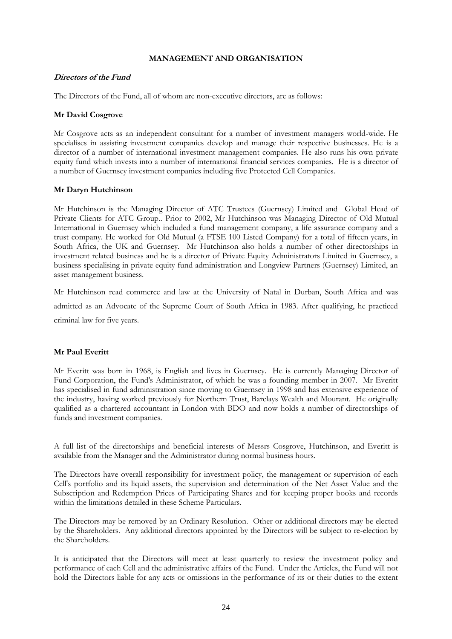### **MANAGEMENT AND ORGANISATION**

### <span id="page-23-0"></span>**Directors of the Fund**

The Directors of the Fund, all of whom are non-executive directors, are as follows:

## **Mr David Cosgrove**

Mr Cosgrove acts as an independent consultant for a number of investment managers world-wide. He specialises in assisting investment companies develop and manage their respective businesses. He is a director of a number of international investment management companies. He also runs his own private equity fund which invests into a number of international financial services companies. He is a director of a number of Guernsey investment companies including five Protected Cell Companies.

### **Mr Daryn Hutchinson**

Mr Hutchinson is the Managing Director of ATC Trustees (Guernsey) Limited and Global Head of Private Clients for ATC Group.. Prior to 2002, Mr Hutchinson was Managing Director of Old Mutual International in Guernsey which included a fund management company, a life assurance company and a trust company. He worked for Old Mutual (a FTSE 100 Listed Company) for a total of fifteen years, in South Africa, the UK and Guernsey. Mr Hutchinson also holds a number of other directorships in investment related business and he is a director of Private Equity Administrators Limited in Guernsey, a business specialising in private equity fund administration and Longview Partners (Guernsey) Limited, an asset management business.

Mr Hutchinson read commerce and law at the University of Natal in Durban, South Africa and was admitted as an Advocate of the Supreme Court of South Africa in 1983. After qualifying, he practiced criminal law for five years.

# **Mr Paul Everitt**

Mr Everitt was born in 1968, is English and lives in Guernsey. He is currently Managing Director of Fund Corporation, the Fund's Administrator, of which he was a founding member in 2007. Mr Everitt has specialised in fund administration since moving to Guernsey in 1998 and has extensive experience of the industry, having worked previously for Northern Trust, Barclays Wealth and Mourant. He originally qualified as a chartered accountant in London with BDO and now holds a number of directorships of funds and investment companies.

A full list of the directorships and beneficial interests of Messrs Cosgrove, Hutchinson, and Everitt is available from the Manager and the Administrator during normal business hours.

The Directors have overall responsibility for investment policy, the management or supervision of each Cell's portfolio and its liquid assets, the supervision and determination of the Net Asset Value and the Subscription and Redemption Prices of Participating Shares and for keeping proper books and records within the limitations detailed in these Scheme Particulars.

The Directors may be removed by an Ordinary Resolution. Other or additional directors may be elected by the Shareholders. Any additional directors appointed by the Directors will be subject to re-election by the Shareholders.

It is anticipated that the Directors will meet at least quarterly to review the investment policy and performance of each Cell and the administrative affairs of the Fund. Under the Articles, the Fund will not hold the Directors liable for any acts or omissions in the performance of its or their duties to the extent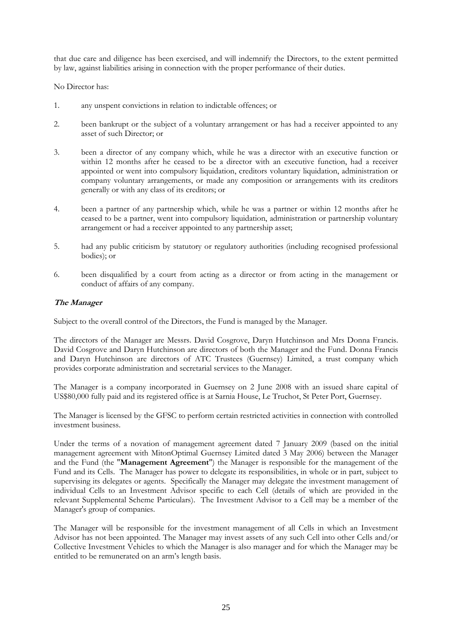that due care and diligence has been exercised, and will indemnify the Directors, to the extent permitted by law, against liabilities arising in connection with the proper performance of their duties.

No Director has:

- 1. any unspent convictions in relation to indictable offences; or
- 2. been bankrupt or the subject of a voluntary arrangement or has had a receiver appointed to any asset of such Director; or
- 3. been a director of any company which, while he was a director with an executive function or within 12 months after he ceased to be a director with an executive function, had a receiver appointed or went into compulsory liquidation, creditors voluntary liquidation, administration or company voluntary arrangements, or made any composition or arrangements with its creditors generally or with any class of its creditors; or
- 4. been a partner of any partnership which, while he was a partner or within 12 months after he ceased to be a partner, went into compulsory liquidation, administration or partnership voluntary arrangement or had a receiver appointed to any partnership asset;
- 5. had any public criticism by statutory or regulatory authorities (including recognised professional bodies); or
- 6. been disqualified by a court from acting as a director or from acting in the management or conduct of affairs of any company.

# **The Manager**

Subject to the overall control of the Directors, the Fund is managed by the Manager.

The directors of the Manager are Messrs. David Cosgrove, Daryn Hutchinson and Mrs Donna Francis. David Cosgrove and Daryn Hutchinson are directors of both the Manager and the Fund. Donna Francis and Daryn Hutchinson are directors of ATC Trustees (Guernsey) Limited, a trust company which provides corporate administration and secretarial services to the Manager.

The Manager is a company incorporated in Guernsey on 2 June 2008 with an issued share capital of US\$80,000 fully paid and its registered office is at Sarnia House, Le Truchot, St Peter Port, Guernsey.

The Manager is licensed by the GFSC to perform certain restricted activities in connection with controlled investment business.

Under the terms of a novation of management agreement dated 7 January 2009 (based on the initial management agreement with MitonOptimal Guernsey Limited dated 3 May 2006) between the Manager and the Fund (the "**Management Agreement**") the Manager is responsible for the management of the Fund and its Cells. The Manager has power to delegate its responsibilities, in whole or in part, subject to supervising its delegates or agents. Specifically the Manager may delegate the investment management of individual Cells to an Investment Advisor specific to each Cell (details of which are provided in the relevant Supplemental Scheme Particulars). The Investment Advisor to a Cell may be a member of the Manager's group of companies.

The Manager will be responsible for the investment management of all Cells in which an Investment Advisor has not been appointed. The Manager may invest assets of any such Cell into other Cells and/or Collective Investment Vehicles to which the Manager is also manager and for which the Manager may be entitled to be remunerated on an arm's length basis.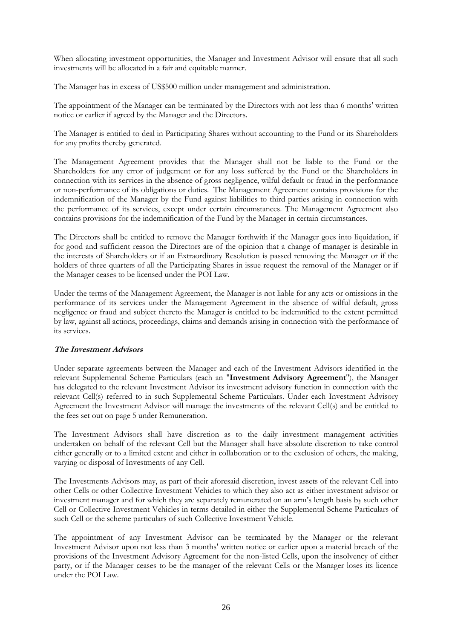When allocating investment opportunities, the Manager and Investment Advisor will ensure that all such investments will be allocated in a fair and equitable manner.

The Manager has in excess of US\$500 million under management and administration.

The appointment of the Manager can be terminated by the Directors with not less than 6 months' written notice or earlier if agreed by the Manager and the Directors.

The Manager is entitled to deal in Participating Shares without accounting to the Fund or its Shareholders for any profits thereby generated.

The Management Agreement provides that the Manager shall not be liable to the Fund or the Shareholders for any error of judgement or for any loss suffered by the Fund or the Shareholders in connection with its services in the absence of gross negligence, wilful default or fraud in the performance or non-performance of its obligations or duties. The Management Agreement contains provisions for the indemnification of the Manager by the Fund against liabilities to third parties arising in connection with the performance of its services, except under certain circumstances. The Management Agreement also contains provisions for the indemnification of the Fund by the Manager in certain circumstances.

The Directors shall be entitled to remove the Manager forthwith if the Manager goes into liquidation, if for good and sufficient reason the Directors are of the opinion that a change of manager is desirable in the interests of Shareholders or if an Extraordinary Resolution is passed removing the Manager or if the holders of three quarters of all the Participating Shares in issue request the removal of the Manager or if the Manager ceases to be licensed under the POI Law.

Under the terms of the Management Agreement, the Manager is not liable for any acts or omissions in the performance of its services under the Management Agreement in the absence of wilful default, gross negligence or fraud and subject thereto the Manager is entitled to be indemnified to the extent permitted by law, against all actions, proceedings, claims and demands arising in connection with the performance of its services.

# **The Investment Advisors**

Under separate agreements between the Manager and each of the Investment Advisors identified in the relevant Supplemental Scheme Particulars (each an "**Investment Advisory Agreement**"), the Manager has delegated to the relevant Investment Advisor its investment advisory function in connection with the relevant Cell(s) referred to in such Supplemental Scheme Particulars. Under each Investment Advisory Agreement the Investment Advisor will manage the investments of the relevant Cell(s) and be entitled to the fees set out on page 5 under Remuneration.

The Investment Advisors shall have discretion as to the daily investment management activities undertaken on behalf of the relevant Cell but the Manager shall have absolute discretion to take control either generally or to a limited extent and either in collaboration or to the exclusion of others, the making, varying or disposal of Investments of any Cell.

The Investments Advisors may, as part of their aforesaid discretion, invest assets of the relevant Cell into other Cells or other Collective Investment Vehicles to which they also act as either investment advisor or investment manager and for which they are separately remunerated on an arm's length basis by such other Cell or Collective Investment Vehicles in terms detailed in either the Supplemental Scheme Particulars of such Cell or the scheme particulars of such Collective Investment Vehicle.

The appointment of any Investment Advisor can be terminated by the Manager or the relevant Investment Advisor upon not less than 3 months' written notice or earlier upon a material breach of the provisions of the Investment Advisory Agreement for the non-listed Cells, upon the insolvency of either party, or if the Manager ceases to be the manager of the relevant Cells or the Manager loses its licence under the POI Law.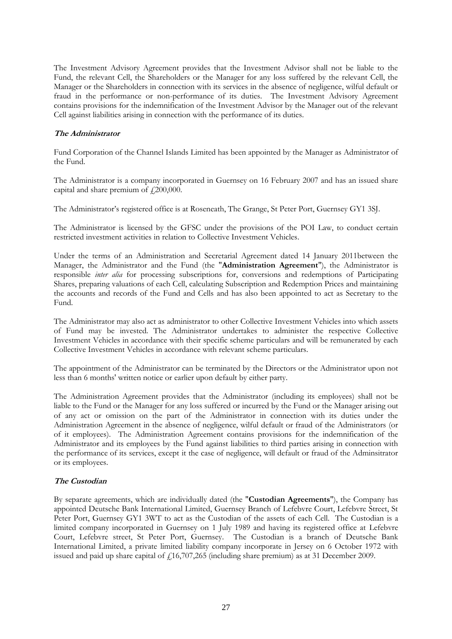The Investment Advisory Agreement provides that the Investment Advisor shall not be liable to the Fund, the relevant Cell, the Shareholders or the Manager for any loss suffered by the relevant Cell, the Manager or the Shareholders in connection with its services in the absence of negligence, wilful default or fraud in the performance or non-performance of its duties. The Investment Advisory Agreement contains provisions for the indemnification of the Investment Advisor by the Manager out of the relevant Cell against liabilities arising in connection with the performance of its duties.

# **The Administrator**

Fund Corporation of the Channel Islands Limited has been appointed by the Manager as Administrator of the Fund.

The Administrator is a company incorporated in Guernsey on 16 February 2007 and has an issued share capital and share premium of  $\text{\textsterling}200,000$ .

The Administrator's registered office is at Roseneath, The Grange, St Peter Port, Guernsey GY1 3SJ.

The Administrator is licensed by the GFSC under the provisions of the POI Law, to conduct certain restricted investment activities in relation to Collective Investment Vehicles.

Under the terms of an Administration and Secretarial Agreement dated 14 January 2011between the Manager, the Administrator and the Fund (the "**Administration Agreement**"), the Administrator is responsible *inter alia* for processing subscriptions for, conversions and redemptions of Participating Shares, preparing valuations of each Cell, calculating Subscription and Redemption Prices and maintaining the accounts and records of the Fund and Cells and has also been appointed to act as Secretary to the Fund.

The Administrator may also act as administrator to other Collective Investment Vehicles into which assets of Fund may be invested. The Administrator undertakes to administer the respective Collective Investment Vehicles in accordance with their specific scheme particulars and will be remunerated by each Collective Investment Vehicles in accordance with relevant scheme particulars.

The appointment of the Administrator can be terminated by the Directors or the Administrator upon not less than 6 months' written notice or earlier upon default by either party.

The Administration Agreement provides that the Administrator (including its employees) shall not be liable to the Fund or the Manager for any loss suffered or incurred by the Fund or the Manager arising out of any act or omission on the part of the Administrator in connection with its duties under the Administration Agreement in the absence of negligence, wilful default or fraud of the Administrators (or of it employees). The Administration Agreement contains provisions for the indemnification of the Administrator and its employees by the Fund against liabilities to third parties arising in connection with the performance of its services, except it the case of negligence, will default or fraud of the Adminsitrator or its employees.

# **The Custodian**

By separate agreements, which are individually dated (the "**Custodian Agreements**"), the Company has appointed Deutsche Bank International Limited, Guernsey Branch of Lefebvre Court, Lefebvre Street, St Peter Port, Guernsey GY1 3WT to act as the Custodian of the assets of each Cell. The Custodian is a limited company incorporated in Guernsey on 1 July 1989 and having its registered office at Lefebvre Court, Lefebvre street, St Peter Port, Guernsey. The Custodian is a branch of Deutsche Bank International Limited, a private limited liability company incorporate in Jersey on 6 October 1972 with issued and paid up share capital of  $\mu$ 16,707,265 (including share premium) as at 31 December 2009.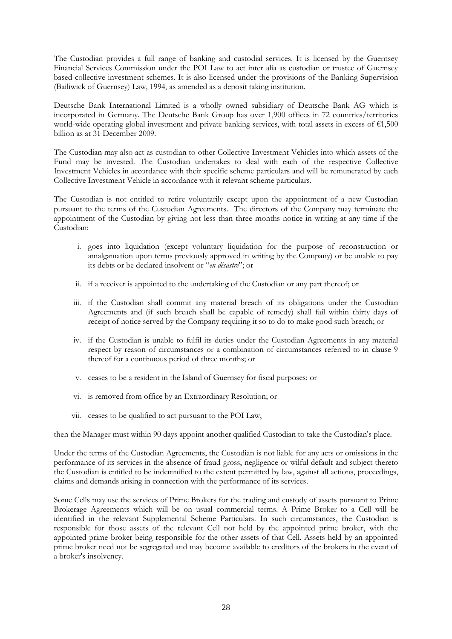The Custodian provides a full range of banking and custodial services. It is licensed by the Guernsey Financial Services Commission under the POI Law to act inter alia as custodian or trustee of Guernsey based collective investment schemes. It is also licensed under the provisions of the Banking Supervision (Bailiwick of Guernsey) Law, 1994, as amended as a deposit taking institution.

Deutsche Bank International Limited is a wholly owned subsidiary of Deutsche Bank AG which is incorporated in Germany. The Deutsche Bank Group has over 1,900 offices in 72 countries/territories world-wide operating global investment and private banking services, with total assets in excess of €1,500 billion as at 31 December 2009.

The Custodian may also act as custodian to other Collective Investment Vehicles into which assets of the Fund may be invested. The Custodian undertakes to deal with each of the respective Collective Investment Vehicles in accordance with their specific scheme particulars and will be remunerated by each Collective Investment Vehicle in accordance with it relevant scheme particulars.

The Custodian is not entitled to retire voluntarily except upon the appointment of a new Custodian pursuant to the terms of the Custodian Agreements. The directors of the Company may terminate the appointment of the Custodian by giving not less than three months notice in writing at any time if the Custodian:

- i. goes into liquidation (except voluntary liquidation for the purpose of reconstruction or amalgamation upon terms previously approved in writing by the Company) or be unable to pay its debts or be declared insolvent or "*en désastre*"; or
- ii. if a receiver is appointed to the undertaking of the Custodian or any part thereof; or
- iii. if the Custodian shall commit any material breach of its obligations under the Custodian Agreements and (if such breach shall be capable of remedy) shall fail within thirty days of receipt of notice served by the Company requiring it so to do to make good such breach; or
- iv. if the Custodian is unable to fulfil its duties under the Custodian Agreements in any material respect by reason of circumstances or a combination of circumstances referred to in clause 9 thereof for a continuous period of three months; or
- v. ceases to be a resident in the Island of Guernsey for fiscal purposes; or
- vi. is removed from office by an Extraordinary Resolution; or
- vii. ceases to be qualified to act pursuant to the POI Law,

then the Manager must within 90 days appoint another qualified Custodian to take the Custodian's place.

Under the terms of the Custodian Agreements, the Custodian is not liable for any acts or omissions in the performance of its services in the absence of fraud gross, negligence or wilful default and subject thereto the Custodian is entitled to be indemnified to the extent permitted by law, against all actions, proceedings, claims and demands arising in connection with the performance of its services.

Some Cells may use the services of Prime Brokers for the trading and custody of assets pursuant to Prime Brokerage Agreements which will be on usual commercial terms. A Prime Broker to a Cell will be identified in the relevant Supplemental Scheme Particulars. In such circumstances, the Custodian is responsible for those assets of the relevant Cell not held by the appointed prime broker, with the appointed prime broker being responsible for the other assets of that Cell. Assets held by an appointed prime broker need not be segregated and may become available to creditors of the brokers in the event of a broker's insolvency.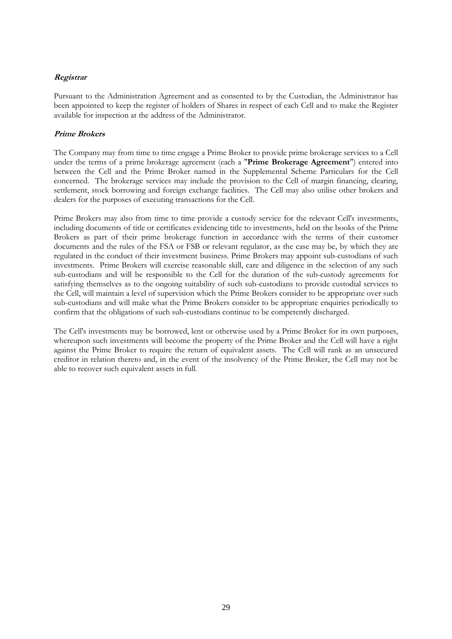# **Registrar**

Pursuant to the Administration Agreement and as consented to by the Custodian, the Administrator has been appointed to keep the register of holders of Shares in respect of each Cell and to make the Register available for inspection at the address of the Administrator.

# **Prime Brokers**

The Company may from time to time engage a Prime Broker to provide prime brokerage services to a Cell under the terms of a prime brokerage agreement (each a "**Prime Brokerage Agreement**") entered into between the Cell and the Prime Broker named in the Supplemental Scheme Particulars for the Cell concerned. The brokerage services may include the provision to the Cell of margin financing, clearing, settlement, stock borrowing and foreign exchange facilities. The Cell may also utilise other brokers and dealers for the purposes of executing transactions for the Cell.

Prime Brokers may also from time to time provide a custody service for the relevant Cell's investments, including documents of title or certificates evidencing title to investments, held on the books of the Prime Brokers as part of their prime brokerage function in accordance with the terms of their customer documents and the rules of the FSA or FSB or relevant regulator, as the case may be, by which they are regulated in the conduct of their investment business. Prime Brokers may appoint sub-custodians of such investments. Prime Brokers will exercise reasonable skill, care and diligence in the selection of any such sub-custodians and will be responsible to the Cell for the duration of the sub-custody agreements for satisfying themselves as to the ongoing suitability of such sub-custodians to provide custodial services to the Cell, will maintain a level of supervision which the Prime Brokers consider to be appropriate over such sub-custodians and will make what the Prime Brokers consider to be appropriate enquiries periodically to confirm that the obligations of such sub-custodians continue to be competently discharged.

The Cell's investments may be borrowed, lent or otherwise used by a Prime Broker for its own purposes, whereupon such investments will become the property of the Prime Broker and the Cell will have a right against the Prime Broker to require the return of equivalent assets. The Cell will rank as an unsecured creditor in relation thereto and, in the event of the insolvency of the Prime Broker, the Cell may not be able to recover such equivalent assets in full.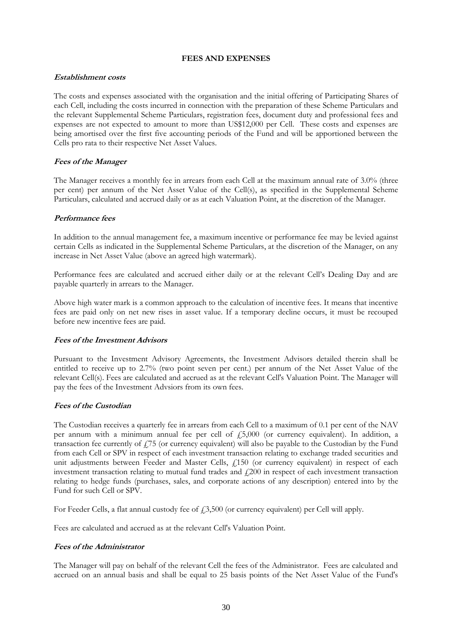### **FEES AND EXPENSES**

### <span id="page-29-0"></span>**Establishment costs**

The costs and expenses associated with the organisation and the initial offering of Participating Shares of each Cell, including the costs incurred in connection with the preparation of these Scheme Particulars and the relevant Supplemental Scheme Particulars, registration fees, document duty and professional fees and expenses are not expected to amount to more than US\$12,000 per Cell. These costs and expenses are being amortised over the first five accounting periods of the Fund and will be apportioned between the Cells pro rata to their respective Net Asset Values.

# **Fees of the Manager**

The Manager receives a monthly fee in arrears from each Cell at the maximum annual rate of 3.0% (three per cent) per annum of the Net Asset Value of the Cell(s), as specified in the Supplemental Scheme Particulars, calculated and accrued daily or as at each Valuation Point, at the discretion of the Manager.

### **Performance fees**

In addition to the annual management fee, a maximum incentive or performance fee may be levied against certain Cells as indicated in the Supplemental Scheme Particulars, at the discretion of the Manager, on any increase in Net Asset Value (above an agreed high watermark).

Performance fees are calculated and accrued either daily or at the relevant Cell's Dealing Day and are payable quarterly in arrears to the Manager.

Above high water mark is a common approach to the calculation of incentive fees. It means that incentive fees are paid only on net new rises in asset value. If a temporary decline occurs, it must be recouped before new incentive fees are paid.

# **Fees of the Investment Advisors**

Pursuant to the Investment Advisory Agreements, the Investment Advisors detailed therein shall be entitled to receive up to 2.7% (two point seven per cent.) per annum of the Net Asset Value of the relevant Cell(s). Fees are calculated and accrued as at the relevant Cell's Valuation Point. The Manager will pay the fees of the Investment Advsiors from its own fees.

# **Fees of the Custodian**

The Custodian receives a quarterly fee in arrears from each Cell to a maximum of 0.1 per cent of the NAV per annum with a minimum annual fee per cell of £5,000 (or currency equivalent). In addition, a transaction fee currently of  $f_1$ 75 (or currency equivalent) will also be payable to the Custodian by the Fund from each Cell or SPV in respect of each investment transaction relating to exchange traded securities and unit adjustments between Feeder and Master Cells, £150 (or currency equivalent) in respect of each investment transaction relating to mutual fund trades and £200 in respect of each investment transaction relating to hedge funds (purchases, sales, and corporate actions of any description) entered into by the Fund for such Cell or SPV.

For Feeder Cells, a flat annual custody fee of  $\text{\textsterling}3,500$  (or currency equivalent) per Cell will apply.

Fees are calculated and accrued as at the relevant Cell's Valuation Point.

# **Fees of the Administrator**

The Manager will pay on behalf of the relevant Cell the fees of the Administrator. Fees are calculated and accrued on an annual basis and shall be equal to 25 basis points of the Net Asset Value of the Fund's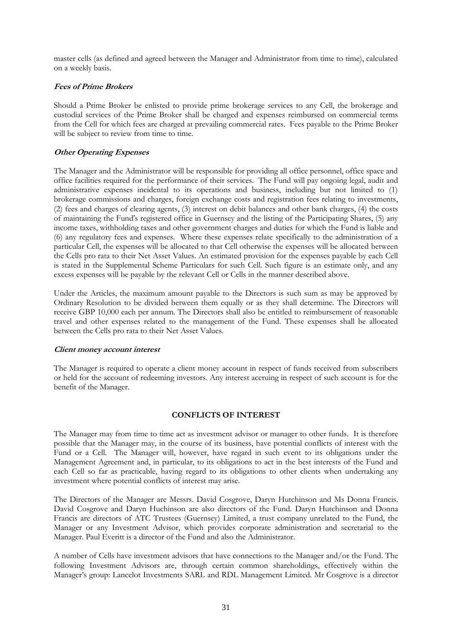master cells (as defined and agreed between the Manager and Administrator from time to time), calculated on a weekly basis.

# **Fees of Prime Brokers**

Should a Prime Broker be enlisted to provide prime brokerage services to any Cell, the brokerage and custodial services of the Prime Broker shall be charged and expenses reimbursed on commercial terms from the Cell for which fees are charged at prevailing commercial rates. Fees payable to the Prime Broker will be subject to review from time to time.

# **Other Operating Expenses**

The Manager and the Administrator will be responsible for providing all office personnel, office space and office facilities required for the performance of their services. The Fund will pay ongoing legal, audit and administrative expenses incidental to its operations and business, including but not limited to (1) brokerage commissions and charges, foreign exchange costs and registration fees relating to investments, (2) fees and charges of clearing agents, (3) interest on debit balances and other bank charges, (4) the costs of maintaining the Fund's registered office in Guernsey and the listing of the Participating Shares, (5) any income taxes, withholding taxes and other government charges and duties for which the Fund is liable and (6) any regulatory fees and expenses. Where these expenses relate specifically to the administration of a particular Cell, the expenses will be allocated to that Cell otherwise the expenses will be allocated between the Cells pro rata to their Net Asset Values. An estimated provision for the expenses payable by each Cell is stated in the Supplemental Scheme Particulars for such Cell. Such figure is an estimate only, and any excess expenses will be payable by the relevant Cell or Cells in the manner described above.

Under the Articles, the maximum amount payable to the Directors is such sum as may be approved by Ordinary Resolution to be divided between them equally or as they shall determine. The Directors will receive GBP 10,000 each per annum. The Directors shall also be entitled to reimbursement of reasonable travel and other expenses related to the management of the Fund. These expenses shall be allocated between the Cells pro rata to their Net Asset Values.

# **Client money account interest**

The Manager is required to operate a client money account in respect of funds received from subscribers or held for the account of redeeming investors. Any interest accruing in respect of such account is for the benefit of the Manager.

# **CONFLICTS OF INTEREST**

<span id="page-30-0"></span>The Manager may from time to time act as investment advisor or manager to other funds. It is therefore possible that the Manager may, in the course of its business, have potential conflicts of interest with the Fund or a Cell. The Manager will, however, have regard in such event to its obligations under the Management Agreement and, in particular, to its obligations to act in the best interests of the Fund and each Cell so far as practicable, having regard to its obligations to other clients when undertaking any investment where potential conflicts of interest may arise.

The Directors of the Manager are Messrs. David Cosgrove, Daryn Hutchinson and Ms Donna Francis. David Cosgrove and Daryn Huchinson are also directors of the Fund. Daryn Hutchinson and Donna Francis are directors of ATC Trustees (Guernsey) Limited, a trust company unrelated to the Fund, the Manager or any Investment Advisor, which provides corporate administration and secretarial to the Manager. Paul Everitt is a director of the Fund and also the Administrator.

A number of Cells have investment advisors that have connections to the Manager and/or the Fund. The following Investment Advisors are, through certain common shareholdings, effectively within the Manager's group: Lancelot Investments SARL and RDL Management Limited. Mr Cosgrove is a director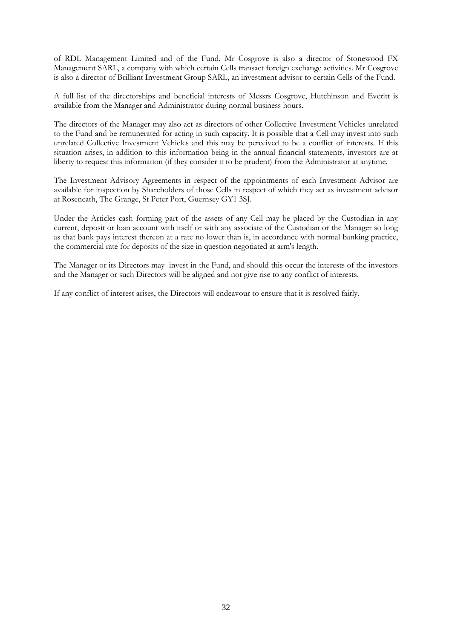of RDL Management Limited and of the Fund. Mr Cosgrove is also a director of Stonewood FX Management SARL, a company with which certain Cells transact foreign exchange activities. Mr Cosgrove is also a director of Brilliant Investment Group SARL, an investment advisor to certain Cells of the Fund.

A full list of the directorships and beneficial interests of Messrs Cosgrove, Hutchinson and Everitt is available from the Manager and Administrator during normal business hours.

The directors of the Manager may also act as directors of other Collective Investment Vehicles unrelated to the Fund and be remunerated for acting in such capacity. It is possible that a Cell may invest into such unrelated Collective Investment Vehicles and this may be perceived to be a conflict of interests. If this situation arises, in addition to this information being in the annual financial statements, investors are at liberty to request this information (if they consider it to be prudent) from the Administrator at anytime.

The Investment Advisory Agreements in respect of the appointments of each Investment Advisor are available for inspection by Shareholders of those Cells in respect of which they act as investment advisor at Roseneath, The Grange, St Peter Port, Guernsey GY1 3SJ.

Under the Articles cash forming part of the assets of any Cell may be placed by the Custodian in any current, deposit or loan account with itself or with any associate of the Custodian or the Manager so long as that bank pays interest thereon at a rate no lower than is, in accordance with normal banking practice, the commercial rate for deposits of the size in question negotiated at arm's length.

The Manager or its Directors may invest in the Fund, and should this occur the interests of the investors and the Manager or such Directors will be aligned and not give rise to any conflict of interests.

If any conflict of interest arises, the Directors will endeavour to ensure that it is resolved fairly.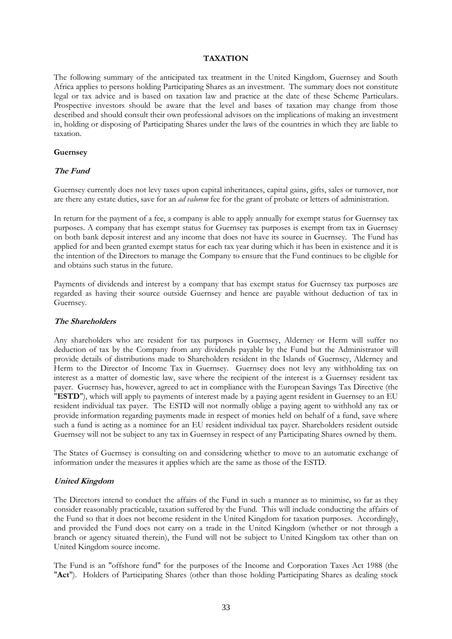### **TAXATION**

<span id="page-32-0"></span>The following summary of the anticipated tax treatment in the United Kingdom, Guernsey and South Africa applies to persons holding Participating Shares as an investment. The summary does not constitute legal or tax advice and is based on taxation law and practice at the date of these Scheme Particulars. Prospective investors should be aware that the level and bases of taxation may change from those described and should consult their own professional advisors on the implications of making an investment in, holding or disposing of Participating Shares under the laws of the countries in which they are liable to taxation.

### **Guernsey**

# **The Fund**

Guernsey currently does not levy taxes upon capital inheritances, capital gains, gifts, sales or turnover, nor are there any estate duties, save for an *ad valorem* fee for the grant of probate or letters of administration.

In return for the payment of a fee, a company is able to apply annually for exempt status for Guernsey tax purposes. A company that has exempt status for Guernsey tax purposes is exempt from tax in Guernsey on both bank deposit interest and any income that does not have its source in Guernsey. The Fund has applied for and been granted exempt status for each tax year during which it has been in existence and it is the intention of the Directors to manage the Company to ensure that the Fund continues to be eligible for and obtains such status in the future.

Payments of dividends and interest by a company that has exempt status for Guernsey tax purposes are regarded as having their source outside Guernsey and hence are payable without deduction of tax in Guernsey.

#### **The Shareholders**

Any shareholders who are resident for tax purposes in Guernsey, Alderney or Herm will suffer no deduction of tax by the Company from any dividends payable by the Fund but the Administrator will provide details of distributions made to Shareholders resident in the Islands of Guernsey, Alderney and Herm to the Director of Income Tax in Guernsey. Guernsey does not levy any withholding tax on interest as a matter of domestic law, save where the recipient of the interest is a Guernsey resident tax payer. Guernsey has, however, agreed to act in compliance with the European Savings Tax Directive (the "**ESTD**"), which will apply to payments of interest made by a paying agent resident in Guernsey to an EU resident individual tax payer. The ESTD will not normally oblige a paying agent to withhold any tax or provide information regarding payments made in respect of monies held on behalf of a fund, save where such a fund is acting as a nominee for an EU resident individual tax payer. Shareholders resident outside Guernsey will not be subject to any tax in Guernsey in respect of any Participating Shares owned by them.

The States of Guernsey is consulting on and considering whether to move to an automatic exchange of information under the measures it applies which are the same as those of the ESTD.

### **United Kingdom**

The Directors intend to conduct the affairs of the Fund in such a manner as to minimise, so far as they consider reasonably practicable, taxation suffered by the Fund. This will include conducting the affairs of the Fund so that it does not become resident in the United Kingdom for taxation purposes. Accordingly, and provided the Fund does not carry on a trade in the United Kingdom (whether or not through a branch or agency situated therein), the Fund will not be subject to United Kingdom tax other than on United Kingdom source income.

The Fund is an "offshore fund" for the purposes of the Income and Corporation Taxes Act 1988 (the "**Act**"). Holders of Participating Shares (other than those holding Participating Shares as dealing stock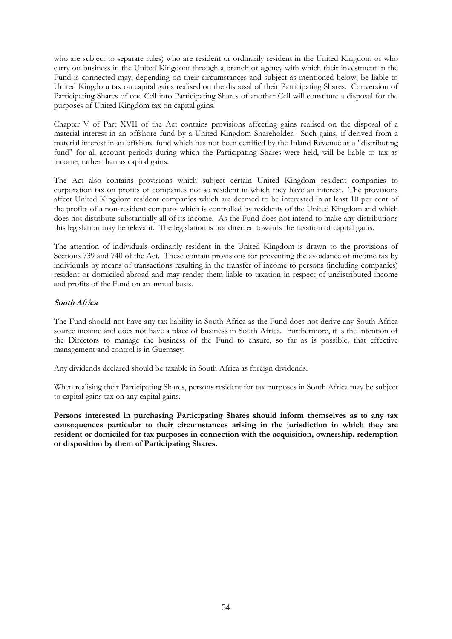who are subject to separate rules) who are resident or ordinarily resident in the United Kingdom or who carry on business in the United Kingdom through a branch or agency with which their investment in the Fund is connected may, depending on their circumstances and subject as mentioned below, be liable to United Kingdom tax on capital gains realised on the disposal of their Participating Shares. Conversion of Participating Shares of one Cell into Participating Shares of another Cell will constitute a disposal for the purposes of United Kingdom tax on capital gains.

Chapter V of Part XVII of the Act contains provisions affecting gains realised on the disposal of a material interest in an offshore fund by a United Kingdom Shareholder. Such gains, if derived from a material interest in an offshore fund which has not been certified by the Inland Revenue as a "distributing fund" for all account periods during which the Participating Shares were held, will be liable to tax as income, rather than as capital gains.

The Act also contains provisions which subject certain United Kingdom resident companies to corporation tax on profits of companies not so resident in which they have an interest. The provisions affect United Kingdom resident companies which are deemed to be interested in at least 10 per cent of the profits of a non-resident company which is controlled by residents of the United Kingdom and which does not distribute substantially all of its income. As the Fund does not intend to make any distributions this legislation may be relevant. The legislation is not directed towards the taxation of capital gains.

The attention of individuals ordinarily resident in the United Kingdom is drawn to the provisions of Sections 739 and 740 of the Act. These contain provisions for preventing the avoidance of income tax by individuals by means of transactions resulting in the transfer of income to persons (including companies) resident or domiciled abroad and may render them liable to taxation in respect of undistributed income and profits of the Fund on an annual basis.

# **South Africa**

The Fund should not have any tax liability in South Africa as the Fund does not derive any South Africa source income and does not have a place of business in South Africa. Furthermore, it is the intention of the Directors to manage the business of the Fund to ensure, so far as is possible, that effective management and control is in Guernsey.

Any dividends declared should be taxable in South Africa as foreign dividends.

When realising their Participating Shares, persons resident for tax purposes in South Africa may be subject to capital gains tax on any capital gains.

**Persons interested in purchasing Participating Shares should inform themselves as to any tax consequences particular to their circumstances arising in the jurisdiction in which they are resident or domiciled for tax purposes in connection with the acquisition, ownership, redemption or disposition by them of Participating Shares.**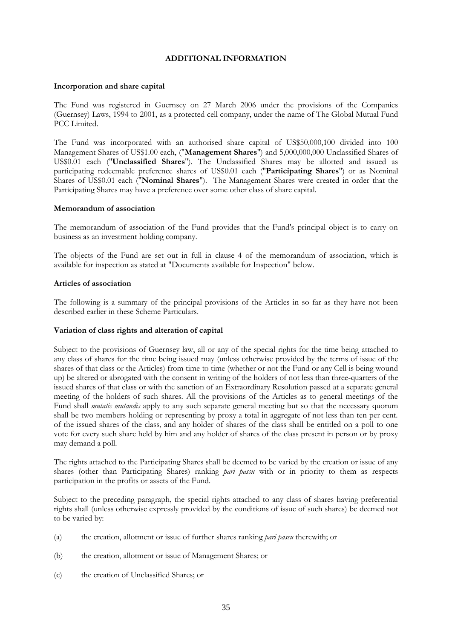# **ADDITIONAL INFORMATION**

### <span id="page-34-0"></span>**Incorporation and share capital**

The Fund was registered in Guernsey on 27 March 2006 under the provisions of the Companies (Guernsey) Laws, 1994 to 2001, as a protected cell company, under the name of The Global Mutual Fund PCC Limited.

The Fund was incorporated with an authorised share capital of US\$50,000,100 divided into 100 Management Shares of US\$1.00 each, ("**Management Shares**") and 5,000,000,000 Unclassified Shares of US\$0.01 each ("**Unclassified Shares**"). The Unclassified Shares may be allotted and issued as participating redeemable preference shares of US\$0.01 each ("**Participating Shares**") or as Nominal Shares of US\$0.01 each ("**Nominal Shares**"). The Management Shares were created in order that the Participating Shares may have a preference over some other class of share capital.

### **Memorandum of association**

The memorandum of association of the Fund provides that the Fund's principal object is to carry on business as an investment holding company.

The objects of the Fund are set out in full in clause 4 of the memorandum of association, which is available for inspection as stated at "Documents available for Inspection" below.

### **Articles of association**

The following is a summary of the principal provisions of the Articles in so far as they have not been described earlier in these Scheme Particulars.

### **Variation of class rights and alteration of capital**

Subject to the provisions of Guernsey law, all or any of the special rights for the time being attached to any class of shares for the time being issued may (unless otherwise provided by the terms of issue of the shares of that class or the Articles) from time to time (whether or not the Fund or any Cell is being wound up) be altered or abrogated with the consent in writing of the holders of not less than three-quarters of the issued shares of that class or with the sanction of an Extraordinary Resolution passed at a separate general meeting of the holders of such shares. All the provisions of the Articles as to general meetings of the Fund shall *mutatis mutandis* apply to any such separate general meeting but so that the necessary quorum shall be two members holding or representing by proxy a total in aggregate of not less than ten per cent. of the issued shares of the class, and any holder of shares of the class shall be entitled on a poll to one vote for every such share held by him and any holder of shares of the class present in person or by proxy may demand a poll.

The rights attached to the Participating Shares shall be deemed to be varied by the creation or issue of any shares (other than Participating Shares) ranking *pari passu* with or in priority to them as respects participation in the profits or assets of the Fund.

Subject to the preceding paragraph, the special rights attached to any class of shares having preferential rights shall (unless otherwise expressly provided by the conditions of issue of such shares) be deemed not to be varied by:

- (a) the creation, allotment or issue of further shares ranking *pari passu* therewith; or
- (b) the creation, allotment or issue of Management Shares; or
- (c) the creation of Unclassified Shares; or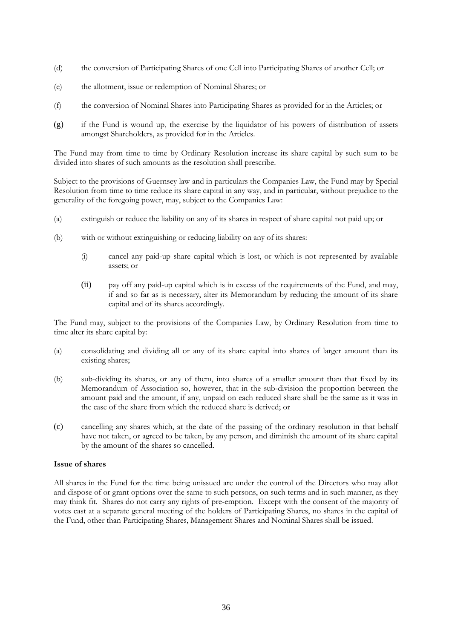- (d) the conversion of Participating Shares of one Cell into Participating Shares of another Cell; or
- (e) the allotment, issue or redemption of Nominal Shares; or
- (f) the conversion of Nominal Shares into Participating Shares as provided for in the Articles; or
- (g) if the Fund is wound up, the exercise by the liquidator of his powers of distribution of assets amongst Shareholders, as provided for in the Articles.

The Fund may from time to time by Ordinary Resolution increase its share capital by such sum to be divided into shares of such amounts as the resolution shall prescribe.

Subject to the provisions of Guernsey law and in particulars the Companies Law, the Fund may by Special Resolution from time to time reduce its share capital in any way, and in particular, without prejudice to the generality of the foregoing power, may, subject to the Companies Law:

- (a) extinguish or reduce the liability on any of its shares in respect of share capital not paid up; or
- (b) with or without extinguishing or reducing liability on any of its shares:
	- (i) cancel any paid-up share capital which is lost, or which is not represented by available assets; or
	- (ii) pay off any paid-up capital which is in excess of the requirements of the Fund, and may, if and so far as is necessary, alter its Memorandum by reducing the amount of its share capital and of its shares accordingly.

The Fund may, subject to the provisions of the Companies Law, by Ordinary Resolution from time to time alter its share capital by:

- (a) consolidating and dividing all or any of its share capital into shares of larger amount than its existing shares;
- (b) sub-dividing its shares, or any of them, into shares of a smaller amount than that fixed by its Memorandum of Association so, however, that in the sub-division the proportion between the amount paid and the amount, if any, unpaid on each reduced share shall be the same as it was in the case of the share from which the reduced share is derived; or
- (c) cancelling any shares which, at the date of the passing of the ordinary resolution in that behalf have not taken, or agreed to be taken, by any person, and diminish the amount of its share capital by the amount of the shares so cancelled.

# **Issue of shares**

All shares in the Fund for the time being unissued are under the control of the Directors who may allot and dispose of or grant options over the same to such persons, on such terms and in such manner, as they may think fit. Shares do not carry any rights of pre-emption. Except with the consent of the majority of votes cast at a separate general meeting of the holders of Participating Shares, no shares in the capital of the Fund, other than Participating Shares, Management Shares and Nominal Shares shall be issued.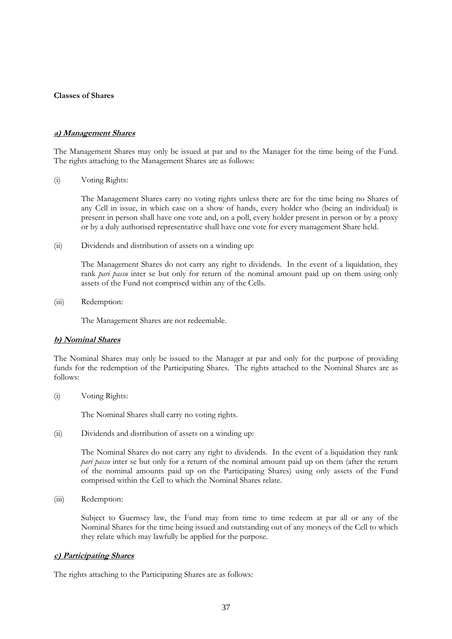### **Classes of Shares**

### **a) Management Shares**

The Management Shares may only be issued at par and to the Manager for the time being of the Fund. The rights attaching to the Management Shares are as follows:

(i) Voting Rights:

The Management Shares carry no voting rights unless there are for the time being no Shares of any Cell in issue, in which case on a show of hands, every holder who (being an individual) is present in person shall have one vote and, on a poll, every holder present in person or by a proxy or by a duly authorised representative shall have one vote for every management Share held.

(ii) Dividends and distribution of assets on a winding up:

The Management Shares do not carry any right to dividends. In the event of a liquidation, they rank *pari passu* inter se but only for return of the nominal amount paid up on them using only assets of the Fund not comprised within any of the Cells.

(iii) Redemption:

The Management Shares are not redeemable.

### **b) Nominal Shares**

The Nominal Shares may only be issued to the Manager at par and only for the purpose of providing funds for the redemption of the Participating Shares. The rights attached to the Nominal Shares are as follows:

(i) Voting Rights:

The Nominal Shares shall carry no voting rights.

(ii) Dividends and distribution of assets on a winding up:

The Nominal Shares do not carry any right to dividends. In the event of a liquidation they rank *pari passu* inter se but only for a return of the nominal amount paid up on them (after the return of the nominal amounts paid up on the Participating Shares) using only assets of the Fund comprised within the Cell to which the Nominal Shares relate.

(iii) Redemption:

Subject to Guernsey law, the Fund may from time to time redeem at par all or any of the Nominal Shares for the time being issued and outstanding out of any moneys of the Cell to which they relate which may lawfully be applied for the purpose.

### **c) Participating Shares**

The rights attaching to the Participating Shares are as follows: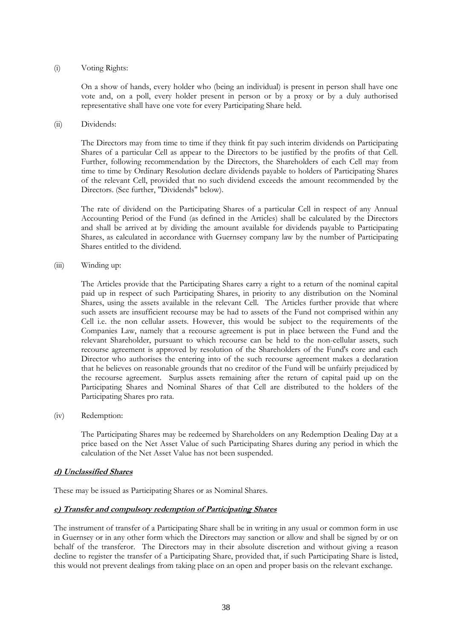## (i) Voting Rights:

On a show of hands, every holder who (being an individual) is present in person shall have one vote and, on a poll, every holder present in person or by a proxy or by a duly authorised representative shall have one vote for every Participating Share held.

## (ii) Dividends:

The Directors may from time to time if they think fit pay such interim dividends on Participating Shares of a particular Cell as appear to the Directors to be justified by the profits of that Cell. Further, following recommendation by the Directors, the Shareholders of each Cell may from time to time by Ordinary Resolution declare dividends payable to holders of Participating Shares of the relevant Cell, provided that no such dividend exceeds the amount recommended by the Directors. (See further, "Dividends" below).

The rate of dividend on the Participating Shares of a particular Cell in respect of any Annual Accounting Period of the Fund (as defined in the Articles) shall be calculated by the Directors and shall be arrived at by dividing the amount available for dividends payable to Participating Shares, as calculated in accordance with Guernsey company law by the number of Participating Shares entitled to the dividend.

(iii) Winding up:

The Articles provide that the Participating Shares carry a right to a return of the nominal capital paid up in respect of such Participating Shares, in priority to any distribution on the Nominal Shares, using the assets available in the relevant Cell. The Articles further provide that where such assets are insufficient recourse may be had to assets of the Fund not comprised within any Cell i.e. the non cellular assets. However, this would be subject to the requirements of the Companies Law, namely that a recourse agreement is put in place between the Fund and the relevant Shareholder, pursuant to which recourse can be held to the non-cellular assets, such recourse agreement is approved by resolution of the Shareholders of the Fund's core and each Director who authorises the entering into of the such recourse agreement makes a declaration that he believes on reasonable grounds that no creditor of the Fund will be unfairly prejudiced by the recourse agreement. Surplus assets remaining after the return of capital paid up on the Participating Shares and Nominal Shares of that Cell are distributed to the holders of the Participating Shares pro rata.

(iv) Redemption:

The Participating Shares may be redeemed by Shareholders on any Redemption Dealing Day at a price based on the Net Asset Value of such Participating Shares during any period in which the calculation of the Net Asset Value has not been suspended.

# **d) Unclassified Shares**

These may be issued as Participating Shares or as Nominal Shares.

# **e) Transfer and compulsory redemption of Participating Shares**

The instrument of transfer of a Participating Share shall be in writing in any usual or common form in use in Guernsey or in any other form which the Directors may sanction or allow and shall be signed by or on behalf of the transferor. The Directors may in their absolute discretion and without giving a reason decline to register the transfer of a Participating Share, provided that, if such Participating Share is listed, this would not prevent dealings from taking place on an open and proper basis on the relevant exchange.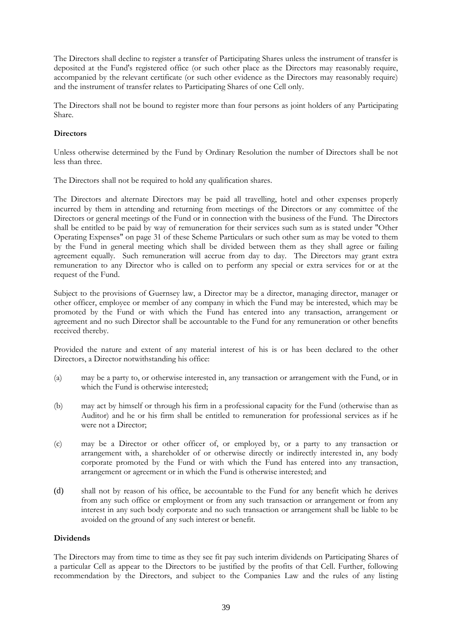The Directors shall decline to register a transfer of Participating Shares unless the instrument of transfer is deposited at the Fund's registered office (or such other place as the Directors may reasonably require, accompanied by the relevant certificate (or such other evidence as the Directors may reasonably require) and the instrument of transfer relates to Participating Shares of one Cell only.

The Directors shall not be bound to register more than four persons as joint holders of any Participating Share.

# **Directors**

Unless otherwise determined by the Fund by Ordinary Resolution the number of Directors shall be not less than three.

The Directors shall not be required to hold any qualification shares.

The Directors and alternate Directors may be paid all travelling, hotel and other expenses properly incurred by them in attending and returning from meetings of the Directors or any committee of the Directors or general meetings of the Fund or in connection with the business of the Fund. The Directors shall be entitled to be paid by way of remuneration for their services such sum as is stated under "Other Operating Expenses" on page 31 of these Scheme Particulars or such other sum as may be voted to them by the Fund in general meeting which shall be divided between them as they shall agree or failing agreement equally. Such remuneration will accrue from day to day. The Directors may grant extra remuneration to any Director who is called on to perform any special or extra services for or at the request of the Fund.

Subject to the provisions of Guernsey law, a Director may be a director, managing director, manager or other officer, employee or member of any company in which the Fund may be interested, which may be promoted by the Fund or with which the Fund has entered into any transaction, arrangement or agreement and no such Director shall be accountable to the Fund for any remuneration or other benefits received thereby.

Provided the nature and extent of any material interest of his is or has been declared to the other Directors, a Director notwithstanding his office:

- (a) may be a party to, or otherwise interested in, any transaction or arrangement with the Fund, or in which the Fund is otherwise interested;
- (b) may act by himself or through his firm in a professional capacity for the Fund (otherwise than as Auditor) and he or his firm shall be entitled to remuneration for professional services as if he were not a Director;
- (c) may be a Director or other officer of, or employed by, or a party to any transaction or arrangement with, a shareholder of or otherwise directly or indirectly interested in, any body corporate promoted by the Fund or with which the Fund has entered into any transaction, arrangement or agreement or in which the Fund is otherwise interested; and
- (d) shall not by reason of his office, be accountable to the Fund for any benefit which he derives from any such office or employment or from any such transaction or arrangement or from any interest in any such body corporate and no such transaction or arrangement shall be liable to be avoided on the ground of any such interest or benefit.

# **Dividends**

The Directors may from time to time as they see fit pay such interim dividends on Participating Shares of a particular Cell as appear to the Directors to be justified by the profits of that Cell. Further, following recommendation by the Directors, and subject to the Companies Law and the rules of any listing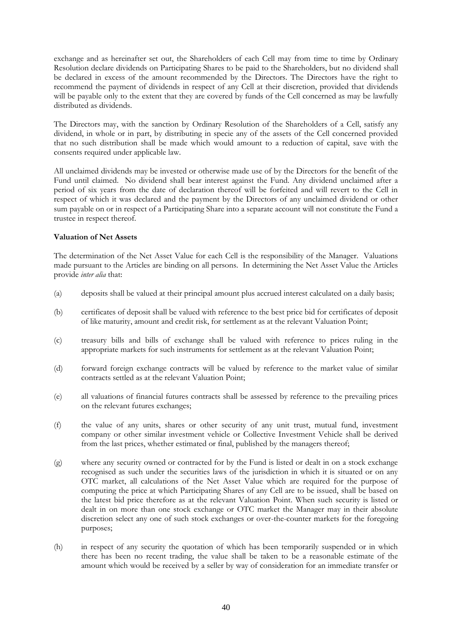exchange and as hereinafter set out, the Shareholders of each Cell may from time to time by Ordinary Resolution declare dividends on Participating Shares to be paid to the Shareholders, but no dividend shall be declared in excess of the amount recommended by the Directors. The Directors have the right to recommend the payment of dividends in respect of any Cell at their discretion, provided that dividends will be payable only to the extent that they are covered by funds of the Cell concerned as may be lawfully distributed as dividends.

The Directors may, with the sanction by Ordinary Resolution of the Shareholders of a Cell, satisfy any dividend, in whole or in part, by distributing in specie any of the assets of the Cell concerned provided that no such distribution shall be made which would amount to a reduction of capital, save with the consents required under applicable law.

All unclaimed dividends may be invested or otherwise made use of by the Directors for the benefit of the Fund until claimed. No dividend shall bear interest against the Fund. Any dividend unclaimed after a period of six years from the date of declaration thereof will be forfeited and will revert to the Cell in respect of which it was declared and the payment by the Directors of any unclaimed dividend or other sum payable on or in respect of a Participating Share into a separate account will not constitute the Fund a trustee in respect thereof.

# **Valuation of Net Assets**

The determination of the Net Asset Value for each Cell is the responsibility of the Manager. Valuations made pursuant to the Articles are binding on all persons. In determining the Net Asset Value the Articles provide *inter alia* that:

- (a) deposits shall be valued at their principal amount plus accrued interest calculated on a daily basis;
- (b) certificates of deposit shall be valued with reference to the best price bid for certificates of deposit of like maturity, amount and credit risk, for settlement as at the relevant Valuation Point;
- (c) treasury bills and bills of exchange shall be valued with reference to prices ruling in the appropriate markets for such instruments for settlement as at the relevant Valuation Point;
- (d) forward foreign exchange contracts will be valued by reference to the market value of similar contracts settled as at the relevant Valuation Point;
- (e) all valuations of financial futures contracts shall be assessed by reference to the prevailing prices on the relevant futures exchanges;
- (f) the value of any units, shares or other security of any unit trust, mutual fund, investment company or other similar investment vehicle or Collective Investment Vehicle shall be derived from the last prices, whether estimated or final, published by the managers thereof;
- (g) where any security owned or contracted for by the Fund is listed or dealt in on a stock exchange recognised as such under the securities laws of the jurisdiction in which it is situated or on any OTC market, all calculations of the Net Asset Value which are required for the purpose of computing the price at which Participating Shares of any Cell are to be issued, shall be based on the latest bid price therefore as at the relevant Valuation Point. When such security is listed or dealt in on more than one stock exchange or OTC market the Manager may in their absolute discretion select any one of such stock exchanges or over-the-counter markets for the foregoing purposes;
- (h) in respect of any security the quotation of which has been temporarily suspended or in which there has been no recent trading, the value shall be taken to be a reasonable estimate of the amount which would be received by a seller by way of consideration for an immediate transfer or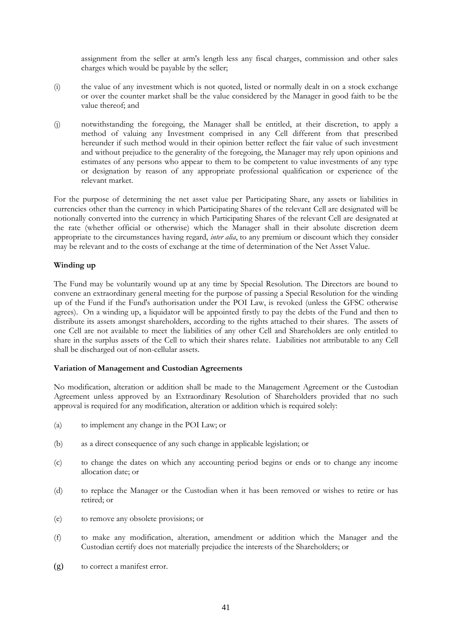assignment from the seller at arm's length less any fiscal charges, commission and other sales charges which would be payable by the seller;

- (i) the value of any investment which is not quoted, listed or normally dealt in on a stock exchange or over the counter market shall be the value considered by the Manager in good faith to be the value thereof; and
- (j) notwithstanding the foregoing, the Manager shall be entitled, at their discretion, to apply a method of valuing any Investment comprised in any Cell different from that prescribed hereunder if such method would in their opinion better reflect the fair value of such investment and without prejudice to the generality of the foregoing, the Manager may rely upon opinions and estimates of any persons who appear to them to be competent to value investments of any type or designation by reason of any appropriate professional qualification or experience of the relevant market.

For the purpose of determining the net asset value per Participating Share, any assets or liabilities in currencies other than the currency in which Participating Shares of the relevant Cell are designated will be notionally converted into the currency in which Participating Shares of the relevant Cell are designated at the rate (whether official or otherwise) which the Manager shall in their absolute discretion deem appropriate to the circumstances having regard, *inter alia*, to any premium or discount which they consider may be relevant and to the costs of exchange at the time of determination of the Net Asset Value.

# **Winding up**

The Fund may be voluntarily wound up at any time by Special Resolution. The Directors are bound to convene an extraordinary general meeting for the purpose of passing a Special Resolution for the winding up of the Fund if the Fund's authorisation under the POI Law, is revoked (unless the GFSC otherwise agrees). On a winding up, a liquidator will be appointed firstly to pay the debts of the Fund and then to distribute its assets amongst shareholders, according to the rights attached to their shares. The assets of one Cell are not available to meet the liabilities of any other Cell and Shareholders are only entitled to share in the surplus assets of the Cell to which their shares relate. Liabilities not attributable to any Cell shall be discharged out of non-cellular assets.

# **Variation of Management and Custodian Agreements**

No modification, alteration or addition shall be made to the Management Agreement or the Custodian Agreement unless approved by an Extraordinary Resolution of Shareholders provided that no such approval is required for any modification, alteration or addition which is required solely:

- (a) to implement any change in the POI Law; or
- (b) as a direct consequence of any such change in applicable legislation; or
- (c) to change the dates on which any accounting period begins or ends or to change any income allocation date; or
- (d) to replace the Manager or the Custodian when it has been removed or wishes to retire or has retired; or
- (e) to remove any obsolete provisions; or
- (f) to make any modification, alteration, amendment or addition which the Manager and the Custodian certify does not materially prejudice the interests of the Shareholders; or
- (g) to correct a manifest error.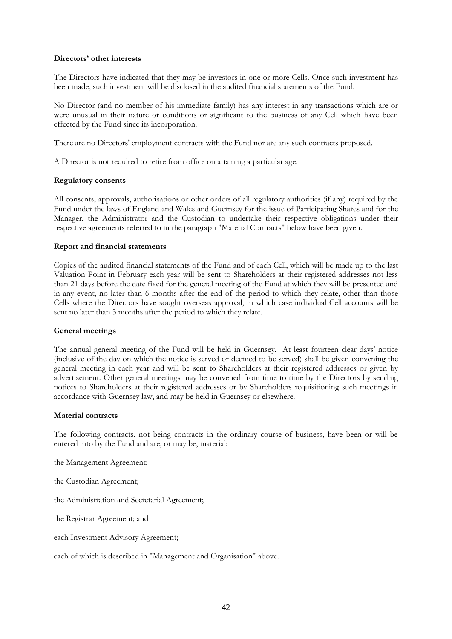### **Directors' other interests**

The Directors have indicated that they may be investors in one or more Cells. Once such investment has been made, such investment will be disclosed in the audited financial statements of the Fund.

No Director (and no member of his immediate family) has any interest in any transactions which are or were unusual in their nature or conditions or significant to the business of any Cell which have been effected by the Fund since its incorporation.

There are no Directors' employment contracts with the Fund nor are any such contracts proposed.

A Director is not required to retire from office on attaining a particular age.

### **Regulatory consents**

All consents, approvals, authorisations or other orders of all regulatory authorities (if any) required by the Fund under the laws of England and Wales and Guernsey for the issue of Participating Shares and for the Manager, the Administrator and the Custodian to undertake their respective obligations under their respective agreements referred to in the paragraph "Material Contracts" below have been given.

### **Report and financial statements**

Copies of the audited financial statements of the Fund and of each Cell, which will be made up to the last Valuation Point in February each year will be sent to Shareholders at their registered addresses not less than 21 days before the date fixed for the general meeting of the Fund at which they will be presented and in any event, no later than 6 months after the end of the period to which they relate, other than those Cells where the Directors have sought overseas approval, in which case individual Cell accounts will be sent no later than 3 months after the period to which they relate.

### **General meetings**

The annual general meeting of the Fund will be held in Guernsey. At least fourteen clear days' notice (inclusive of the day on which the notice is served or deemed to be served) shall be given convening the general meeting in each year and will be sent to Shareholders at their registered addresses or given by advertisement. Other general meetings may be convened from time to time by the Directors by sending notices to Shareholders at their registered addresses or by Shareholders requisitioning such meetings in accordance with Guernsey law, and may be held in Guernsey or elsewhere.

### **Material contracts**

The following contracts, not being contracts in the ordinary course of business, have been or will be entered into by the Fund and are, or may be, material:

the Management Agreement;

the Custodian Agreement;

the Administration and Secretarial Agreement;

the Registrar Agreement; and

each Investment Advisory Agreement;

each of which is described in "Management and Organisation" above.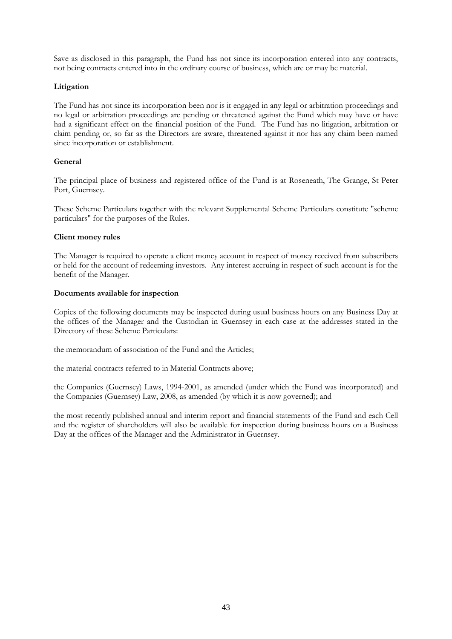Save as disclosed in this paragraph, the Fund has not since its incorporation entered into any contracts, not being contracts entered into in the ordinary course of business, which are or may be material.

# **Litigation**

The Fund has not since its incorporation been nor is it engaged in any legal or arbitration proceedings and no legal or arbitration proceedings are pending or threatened against the Fund which may have or have had a significant effect on the financial position of the Fund. The Fund has no litigation, arbitration or claim pending or, so far as the Directors are aware, threatened against it nor has any claim been named since incorporation or establishment.

# **General**

The principal place of business and registered office of the Fund is at Roseneath, The Grange, St Peter Port, Guernsey.

These Scheme Particulars together with the relevant Supplemental Scheme Particulars constitute "scheme particulars" for the purposes of the Rules.

# **Client money rules**

The Manager is required to operate a client money account in respect of money received from subscribers or held for the account of redeeming investors. Any interest accruing in respect of such account is for the benefit of the Manager.

### **Documents available for inspection**

Copies of the following documents may be inspected during usual business hours on any Business Day at the offices of the Manager and the Custodian in Guernsey in each case at the addresses stated in the Directory of these Scheme Particulars:

the memorandum of association of the Fund and the Articles;

the material contracts referred to in Material Contracts above;

the Companies (Guernsey) Laws, 1994-2001, as amended (under which the Fund was incorporated) and the Companies (Guernsey) Law, 2008, as amended (by which it is now governed); and

the most recently published annual and interim report and financial statements of the Fund and each Cell and the register of shareholders will also be available for inspection during business hours on a Business Day at the offices of the Manager and the Administrator in Guernsey.